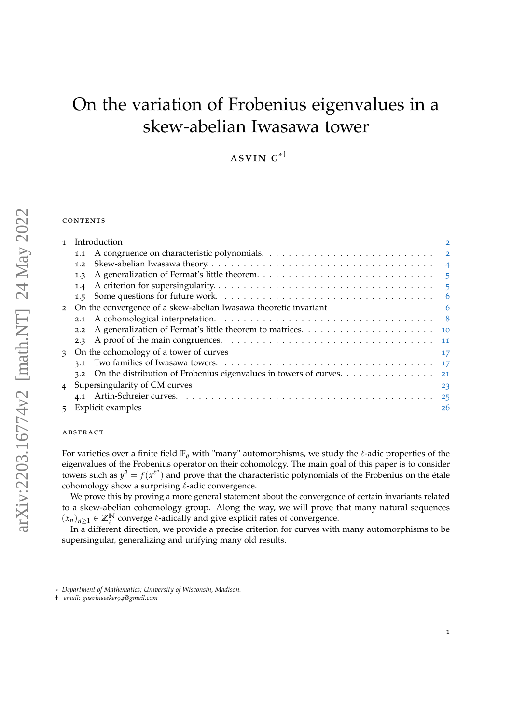# On the variation of Frobenius eigenvalues in a skew-abelian Iwasawa tower

 $ASVING^{*^{\dagger}}$ 

## **CONTENTS**

| $\mathbf{I}$ | Introduction                                                             | 2  |
|--------------|--------------------------------------------------------------------------|----|
|              | 1.1                                                                      |    |
|              | 1.2                                                                      |    |
|              | 1.3                                                                      |    |
|              | 1.4                                                                      |    |
|              |                                                                          |    |
|              | 2 On the convergence of a skew-abelian Iwasawa theoretic invariant       | 6  |
|              |                                                                          |    |
|              | 2.2                                                                      |    |
|              |                                                                          |    |
|              | 3 On the cohomology of a tower of curves                                 | 17 |
|              |                                                                          |    |
|              | 3.2 On the distribution of Frobenius eigenvalues in towers of curves. 21 |    |
|              | 4 Supersingularity of CM curves                                          | 23 |
|              |                                                                          |    |
|              | 5 Explicit examples                                                      | 26 |

## abstract

For varieties over a finite field  $\mathbb{F}_q$  with "many" automorphisms, we study the  $\ell$ -adic properties of the eigenvalues of the Frobenius operator on their cohomology. The main goal of this paper is to consider towers such as  $y^2 = f(x^{\ell^n})$  and prove that the characteristic polynomials of the Frobenius on the étale cohomology show a surprising  $\ell$ -adic convergence.

We prove this by proving a more general statement about the convergence of certain invariants related to a skew-abelian cohomology group. Along the way, we will prove that many natural sequences  $(x_n)_{n\geq 1} \in \mathbb{Z}_{\ell}^{\mathbb{N}}$  converge  $\ell$ -adically and give explicit rates of convergence.

In a different direction, we provide a precise criterion for curves with many automorphisms to be supersingular, generalizing and unifying many old results.

<sup>\*</sup> *Department of Mathematics; University of Wisconsin, Madison.*

<sup>†</sup> *email: gasvinseeker94@gmail.com*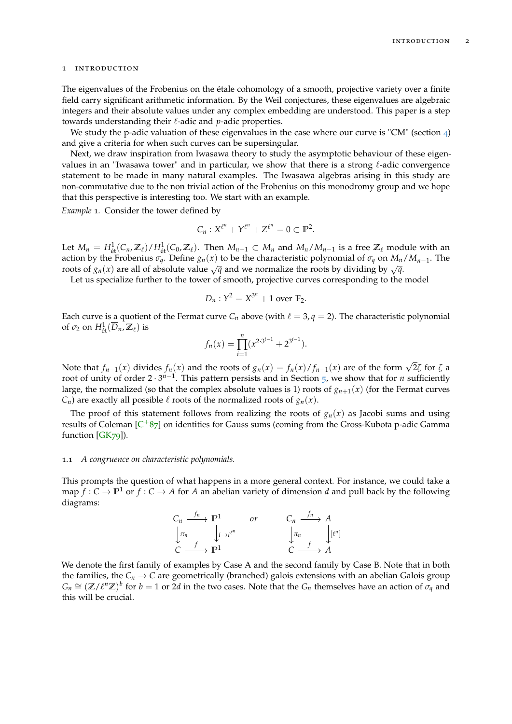### <span id="page-1-0"></span>1 introduction

The eigenvalues of the Frobenius on the étale cohomology of a smooth, projective variety over a finite field carry significant arithmetic information. By the Weil conjectures, these eigenvalues are algebraic integers and their absolute values under any complex embedding are understood. This paper is a step towards understanding their  $\ell$ -adic and  $p$ -adic properties.

We study the p-adic valuation of these eigenvalues in the case where our curve is "CM" (section  $_4$  $_4$ ) and give a criteria for when such curves can be supersingular.

Next, we draw inspiration from Iwasawa theory to study the asymptotic behaviour of these eigenvalues in an "Iwasawa tower" and in particular, we show that there is a strong  $\ell$ -adic convergence statement to be made in many natural examples. The Iwasawa algebras arising in this study are non-commutative due to the non trivial action of the Frobenius on this monodromy group and we hope that this perspective is interesting too. We start with an example.

*Example* 1*.* Consider the tower defined by

$$
C_n: X^{\ell^n} + Y^{\ell^n} + Z^{\ell^n} = 0 \subset \mathbb{P}^2.
$$

Let  $M_n = H^1_{\text{\'et}}(\overline{C}_n, \mathbb{Z}_\ell) / H^1_{\text{\'et}}(\overline{C}_0, \mathbb{Z}_\ell)$ . Then  $M_{n-1} \subset M_n$  and  $M_n / M_{n-1}$  is a free  $\mathbb{Z}_\ell$  module with an action by the Frobenius  $\sigma_q$ . Define  $g_n(x)$  to be the characteristic polynomial of  $\sigma_q$  on  $M_n/M_{n-1}$ . The roots of  $g_n(x)$  are all of absolute value  $\sqrt{q}$  and we normalize the roots by dividing by  $\sqrt{q}$ .

Let us specialize further to the tower of smooth, projective curves corresponding to the model

$$
D_n: Y^2 = X^{3^n} + 1 \text{ over } \mathbb{F}_2.
$$

Each curve is a quotient of the Fermat curve  $C_n$  above (with  $\ell = 3, q = 2$ ). The characteristic polynomial of  $\sigma_2$  on  $H^1_{\text{\'et}}(\overline{D}_n, \mathbb{Z}_\ell)$  is

$$
f_n(x) = \prod_{i=1}^n (x^{2 \cdot 3^{i-1}} + 2^{3^{i-1}}).
$$

Note that  $f_{n-1}(x)$  divides  $f_n(x)$  and the roots of  $g_n(x) = f_n(x)/f_{n-1}(x)$  are of the form  $\sqrt{2}\zeta$  for  $\zeta$  a root of unity of order 2 · 3<sup>*n*−1</sup>. This pattern persists and in Section [5](#page-25-0), we show that for *n* sufficiently large, the normalized (so that the complex absolute values is 1) roots of  $g_{n+1}(x)$  (for the Fermat curves  $C_n$ ) are exactly all possible  $\ell$  roots of the normalized roots of  $g_n(x)$ .

The proof of this statement follows from realizing the roots of  $g_n(x)$  as Jacobi sums and using results of Coleman [C<sup>+</sup>[87](#page-28-0)] on identities for Gauss sums (coming from the Gross-Kubota p-adic Gamma function [\[GK](#page-28-1)79]).

#### <span id="page-1-1"></span>1.1 *A congruence on characteristic polynomials.*

This prompts the question of what happens in a more general context. For instance, we could take a map  $f: C \to \mathbb{P}^1$  or  $f: C \to A$  for *A* an abelian variety of dimension *d* and pull back by the following diagrams:

$$
\begin{array}{ccc}\nC_n & \xrightarrow{f_n} & \mathbb{P}^1 & \text{or} & C_n & \xrightarrow{f_n} & A \\
\downarrow \pi_n & & \downarrow t \to t^{\ell^n} & & \downarrow \pi_n & \downarrow [\ell^n] \\
C & \xrightarrow{f} & \mathbb{P}^1 & & C & \xrightarrow{f} & A\n\end{array}
$$

We denote the first family of examples by Case A and the second family by Case B. Note that in both the families, the  $C_n \to C$  are geometrically (branched) galois extensions with an abelian Galois group  $G_n \cong (\mathbb{Z}/\ell^n \mathbb{Z})^b$  for  $b = 1$  or 2*d* in the two cases. Note that the  $G_n$  themselves have an action of  $\sigma_q$  and this will be crucial.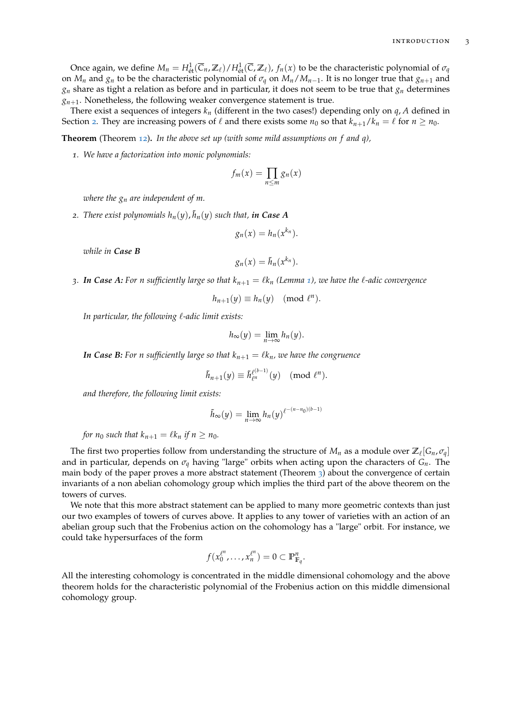Once again, we define  $M_n = H^1_{\text{\'et}}(\overline{C}_n,\mathbb{Z}_\ell)/H^1_{\text{\'et}}(\overline{C},\mathbb{Z}_\ell)$ ,  $f_n(x)$  to be the characteristic polynomial of  $\sigma_q$ on  $M_n$  and  $g_n$  to be the characteristic polynomial of  $\sigma_q$  on  $M_n/M_{n-1}$ . It is no longer true that  $g_{n+1}$  and  $g_n$  share as tight a relation as before and in particular, it does not seem to be true that  $g_n$  determines  $g_{n+1}$ . Nonetheless, the following weaker convergence statement is true.

There exist a sequences of integers *k<sup>n</sup>* (different in the two cases!) depending only on *q*, *A* defined in Section [2](#page-5-1). They are increasing powers of  $\ell$  and there exists some  $n_0$  so that  $k_{n+1}/k_n = \ell$  for  $n \ge n_0$ .

**Theorem** (Theorem [12](#page-20-1))**.** *In the above set up (with some mild assumptions on f and q),*

*1. We have a factorization into monic polynomials:*

$$
f_m(x) = \prod_{n \leq m} g_n(x)
$$

*where the g<sup>n</sup> are independent of m.*

2. *There exist polynomials*  $h_n(y)$ *,*  $\tilde{h}_n(y)$  *such that,*  $\boldsymbol{in}$  *Case A* 

$$
g_n(x) = h_n(x^{k_n}).
$$

*while in Case B*

$$
g_n(x)=\tilde{h}_n(x^{k_n}).
$$

*3.* **In Case A:** For n sufficiently large so that  $k_{n+1} = \ell k_n$  $k_{n+1} = \ell k_n$  $k_{n+1} = \ell k_n$  (Lemma 1), we have the  $\ell$ -adic convergence

$$
h_{n+1}(y) \equiv h_n(y) \pmod{\ell^n}.
$$

*In particular, the following*  $\ell$ *-adic limit exists:* 

$$
h_{\infty}(y)=\lim_{n\to\infty}h_n(y).
$$

*In Case B: For n sufficiently large so that*  $k_{n+1} = \ell k_n$ *, we have the congruence* 

$$
\tilde{h}_{n+1}(y) \equiv \tilde{h}_{\ell^n}^{\ell^{(b-1)}}(y) \pmod{\ell^n}.
$$

*and therefore, the following limit exists:*

$$
\tilde{h}_{\infty}(y) = \lim_{n \to \infty} h_n(y)^{\ell^{-(n-n_0)(b-1)}}
$$

*for*  $n_0$  *such that*  $k_{n+1} = \ell k_n$  *if*  $n \geq n_0$ *.* 

The first two properties follow from understanding the structure of  $M_n$  as a module over  $\mathbb{Z}_\ell[G_n, \sigma_q]$ and in particular, depends on *σ<sup>q</sup>* having "large" orbits when acting upon the characters of *Gn*. The main body of the paper proves a more abstract statement (Theorem [3](#page-8-0)) about the convergence of certain invariants of a non abelian cohomology group which implies the third part of the above theorem on the towers of curves.

We note that this more abstract statement can be applied to many more geometric contexts than just our two examples of towers of curves above. It applies to any tower of varieties with an action of an abelian group such that the Frobenius action on the cohomology has a "large" orbit. For instance, we could take hypersurfaces of the form

$$
f(x_0^{\ell^n},\ldots,x_n^{\ell^n})=0\subset \mathbb{P}^n_{\mathbb{F}_q}.
$$

All the interesting cohomology is concentrated in the middle dimensional cohomology and the above theorem holds for the characteristic polynomial of the Frobenius action on this middle dimensional cohomology group.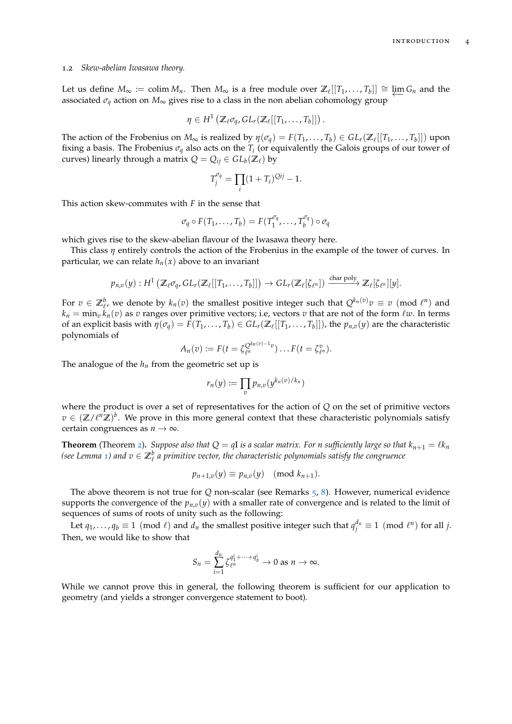#### <span id="page-3-0"></span>1.2 *Skew-abelian Iwasawa theory.*

Let us define  $M_{\infty} := \text{colim } M_n$ . Then  $M_{\infty}$  is a free module over  $\mathbb{Z}_{\ell}[[T_1, ..., T_b]] \cong \varprojlim G_n$  and the associated  $\sigma_q$  action on  $M_\infty$  gives rise to a class in the non abelian cohomology group

$$
\eta \in H^1\left(\mathbb{Z}_{\ell} \sigma_q, GL_r(\mathbb{Z}_{\ell}[[T_1,\ldots,T_b]]\right).
$$

The action of the Frobenius on  $M_\infty$  is realized by  $\eta(\sigma_q) = F(T_1,\ldots,T_b) \in GL_r(\mathbb{Z}_\ell[[T_1,\ldots,T_b]])$  upon fixing a basis. The Frobenius  $\sigma_q$  also acts on the  $T_i$  (or equivalently the Galois groups of our tower of curves) linearly through a matrix  $Q = Q_{ij} \in GL_b(\mathbb{Z}_\ell)$  by

$$
T_j^{\sigma_q} = \prod_i (1 + T_i)^{Qij} - 1.
$$

This action skew-commutes with *F* in the sense that

$$
\sigma_q \circ F(T_1, \ldots, T_b) = F(T_1^{\sigma_q}, \ldots, T_b^{\sigma_q}) \circ \sigma_q
$$

which gives rise to the skew-abelian flavour of the Iwasawa theory here.

This class *η* entirely controls the action of the Frobenius in the example of the tower of curves. In particular, we can relate  $h_n(x)$  above to an invariant

$$
p_{n,v}(y):H^1\left(\mathbb{Z}_{\ell}\sigma_q,\,GL_r(\mathbb{Z}_{\ell}[[T_1,\ldots,T_b]])\to GL_r(\mathbb{Z}_{\ell}[\zeta_{\ell^n}])\xrightarrow{\text{char poly}}\mathbb{Z}_{\ell}[\zeta_{\ell^n}][y].
$$

For  $v \in \mathbb{Z}_{\ell}^b$ , we denote by  $k_n(v)$  the smallest positive integer such that  $Q^{k_n(v)}v \equiv v \pmod{\ell^n}$  and  $k_n = \min_v k_n(v)$  as *v* ranges over primitive vectors; i.e, vectors *v* that are not of the form  $\ell w$ . In terms of an explicit basis with  $\eta(\sigma_q) = F(T_1,\ldots,T_b) \in GL_r(\mathbb{Z}_\ell[[T_1,\ldots,T_b]])$ , the  $p_{n,v}(y)$  are the characteristic polynomials of

$$
A_n(v) := F(t = \zeta_{\ell^n}^{Q^{k_n(v)-1}v}) \dots F(t = \zeta_{\ell^n}^v).
$$

The analogue of the  $h_n$  from the geometric set up is

$$
r_n(y) := \prod_v p_{n,v}(y^{k_n(v)/k_n})
$$

where the product is over a set of representatives for the action of *Q* on the set of primitive vectors  $v \in (\mathbb{Z}/\ell^n \mathbb{Z})^b$ . We prove in this more general context that these characteristic polynomials satisfy certain congruences as  $n \to \infty$ .

**Theorem** (Theorem [2](#page-8-1)). Suppose also that  $Q = qI$  is a scalar matrix. For *n* sufficiently large so that  $k_{n+1} = \ell k_n$ (see Lemma [1](#page-6-0)) and  $v \in \mathbb{Z}_{\ell}^b$  a primitive vector, the characteristic polynomials satisfy the congruence

$$
p_{n+1,v}(y) \equiv p_{n,v}(y) \pmod{k_{n+1}}.
$$

The above theorem is not true for *Q* non-scalar (see Remarks [5](#page-8-2), [8](#page-13-0)). However, numerical evidence supports the convergence of the  $p_{n,v}(y)$  with a smaller rate of convergence and is related to the limit of sequences of sums of roots of unity such as the following:

Let  $q_1, \ldots, q_b \equiv 1 \pmod{\ell}$  and  $d_n$  the smallest positive integer such that  $q_j^{d_n} \equiv 1 \pmod{\ell^n}$  for all *j*. Then, we would like to show that

$$
S_n = \sum_{i=1}^{d_n} \zeta_{\ell^n}^{q_1^i + \dots + q_b^i} \to 0 \text{ as } n \to \infty.
$$

While we cannot prove this in general, the following theorem is sufficient for our application to geometry (and yields a stronger convergence statement to boot).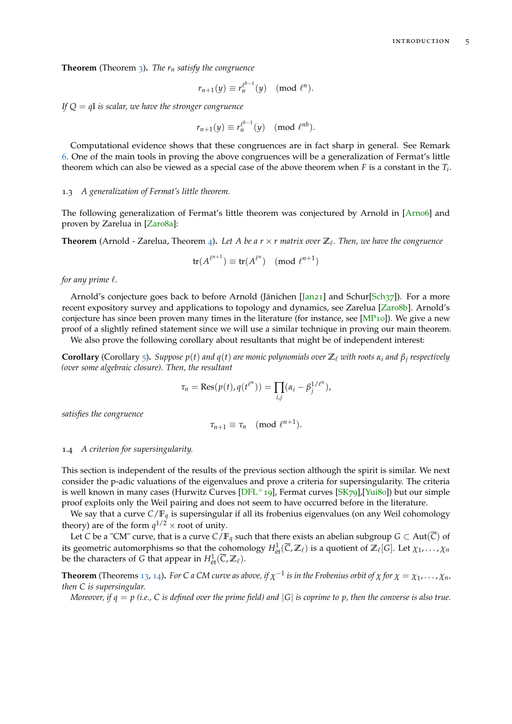**Theorem** (Theorem [3](#page-8-0)). The  $r_n$  satisfy the congruence

$$
r_{n+1}(y) \equiv r_n^{\ell^{b-1}}(y) \pmod{\ell^n}.
$$

*If Q* = *q*I *is scalar, we have the stronger congruence*

$$
r_{n+1}(y) \equiv r_n^{\ell^{b-1}}(y) \pmod{\ell^{nb}}.
$$

Computational evidence shows that these congruences are in fact sharp in general. See Remark [6](#page-8-3). One of the main tools in proving the above congruences will be a generalization of Fermat's little theorem which can also be viewed as a special case of the above theorem when *F* is a constant in the *T<sup>i</sup>* .

## <span id="page-4-0"></span>1.3 *A generalization of Fermat's little theorem.*

The following generalization of Fermat's little theorem was conjectured by Arnold in [\[Arn](#page-28-2)o6] and proven by Zarelua in [\[Zar](#page-28-3)08a]:

**Theorem** (Arnold - Zarelua, Theorem [4](#page-9-1)). Let A be a  $r \times r$  matrix over  $\mathbb{Z}_l$ . Then, we have the congruence

$$
\operatorname{tr}(A^{\ell^{n+1}}) \equiv \operatorname{tr}(A^{\ell^n}) \pmod{\ell^{n+1}}
$$

*for any prime*  $\ell$ *.* 

Arnold's conjecture goes back to before Arnold (Jänichen [\[Jan](#page-28-4)21] and Schur[\[Sch](#page-28-5)37]). For a more recent expository survey and applications to topology and dynamics, see Zarelua [\[Zar](#page-28-6)08b]. Arnold's conjecture has since been proven many times in the literature (for instance, see  $[MP_{10}]$  $[MP_{10}]$ ). We give a new proof of a slightly refined statement since we will use a similar technique in proving our main theorem.

We also prove the following corollary about resultants that might be of independent interest:

**Corollary** (Corollary [5](#page-10-1)). Suppose  $p(t)$  and  $q(t)$  are monic polynomials over  $\mathbb{Z}_\ell$  with roots  $\alpha_i$  and  $\beta_j$  respectively *(over some algebraic closure). Then, the resultant*

$$
\tau_n = \text{Res}(p(t), q(t^{\ell^n})) = \prod_{i,j} (\alpha_i - \beta_j^{1/\ell^n}),
$$

*satisfies the congruence*

$$
\tau_{n+1} \equiv \tau_n \pmod{\ell^{n+1}}.
$$

## <span id="page-4-1"></span>1.4 *A criterion for supersingularity.*

This section is independent of the results of the previous section although the spirit is similar. We next consider the p-adic valuations of the eigenvalues and prove a criteria for supersingularity. The criteria is well known in many cases (Hurwitz Curves  $[DFL^+19]$  $[DFL^+19]$ , Fermat curves  $[SK79]$  $[SK79]$ ,  $[Yui80]$  $[Yui80]$ ) but our simple proof exploits only the Weil pairing and does not seem to have occurred before in the literature.

We say that a curve *C*/**F***<sup>q</sup>* is supersingular if all its frobenius eigenvalues (on any Weil cohomology theory) are of the form  $q^{1/2} \times$  root of unity.

Let *C* be a "CM" curve, that is a curve  $C/F_q$  such that there exists an abelian subgroup  $G \subset Aut(\overline{C})$  of its geometric automorphisms so that the cohomology  $H^1_{\text{\'et}}(\overline{C},\mathbb{Z}_\ell)$  is a quotient of  $\mathbb{Z}_\ell[G]$ . Let  $\chi_1,\ldots,\chi_n$ be the characters of *G* that appear in  $H^1_{\text{\'et}}(\overline{C},\mathbb{Z}_\ell)$ .

**Theorem** (Theorems [13](#page-23-0), [14](#page-23-1)). For C a CM curve as above, if  $\chi^{-1}$  is in the Frobenius orbit of  $\chi$  for  $\chi = \chi_1, \ldots, \chi_n$ , *then C is supersingular.*

*Moreover, if*  $q = p$  (*i.e.,*  $C$  *is defined over the prime field*) and  $|G|$  *is coprime to*  $p$ *, then the converse is also true.*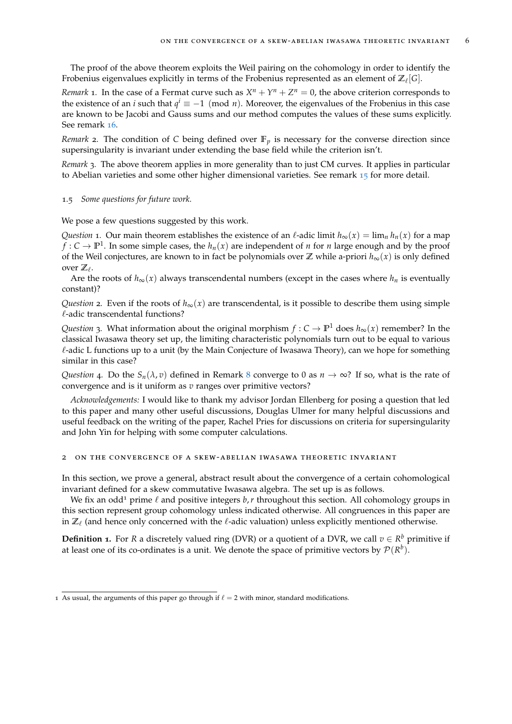The proof of the above theorem exploits the Weil pairing on the cohomology in order to identify the Frobenius eigenvalues explicitly in terms of the Frobenius represented as an element of  $\mathbb{Z}_\ell[G].$ 

*Remark* 1. In the case of a Fermat curve such as  $X^n + Y^n + Z^n = 0$ , the above criterion corresponds to the existence of an *i* such that  $q^i \equiv -1 \pmod{n}$ . Moreover, the eigenvalues of the Frobenius in this case are known to be Jacobi and Gauss sums and our method computes the values of these sums explicitly. See remark [16](#page-25-1).

*Remark* 2. The condition of C being defined over  $\mathbb{F}_p$  is necessary for the converse direction since supersingularity is invariant under extending the base field while the criterion isn't.

*Remark* 3*.* The above theorem applies in more generality than to just CM curves. It applies in particular to Abelian varieties and some other higher dimensional varieties. See remark [15](#page-24-1) for more detail.

#### <span id="page-5-0"></span>1.5 *Some questions for future work.*

We pose a few questions suggested by this work.

*Question* 1. Our main theorem establishes the existence of an  $\ell$ -adic limit  $h_{\infty}(x) = \lim_{n} h_n(x)$  for a map  $f: C \to \mathbb{P}^1$ . In some simple cases, the  $h_n(x)$  are independent of *n* for *n* large enough and by the proof of the Weil conjectures, are known to in fact be polynomials over  $\mathbb Z$  while a-priori  $h_{\infty}(x)$  is only defined over  $\mathbb{Z}_{\ell}$ .

Are the roots of  $h_{\infty}(x)$  always transcendental numbers (except in the cases where  $h_n$  is eventually constant)?

*Question* 2*.* Even if the roots of  $h_{\infty}(x)$  are transcendental, is it possible to describe them using simple  $\ell$ -adic transcendental functions?

*Question* 3*.* What information about the original morphism  $f: C \to \mathbb{P}^1$  does  $h_{\infty}(x)$  remember? In the classical Iwasawa theory set up, the limiting characteristic polynomials turn out to be equal to various  $\ell$ -adic L functions up to a unit (by the Main Conjecture of Iwasawa Theory), can we hope for something similar in this case?

*Question* 4*.* Do the  $S_n(\lambda, v)$  defined in Remark [8](#page-13-0) converge to 0 as  $n \to \infty$ ? If so, what is the rate of convergence and is it uniform as *v* ranges over primitive vectors?

*Acknowledgements:* I would like to thank my advisor Jordan Ellenberg for posing a question that led to this paper and many other useful discussions, Douglas Ulmer for many helpful discussions and useful feedback on the writing of the paper, Rachel Pries for discussions on criteria for supersingularity and John Yin for helping with some computer calculations.

## <span id="page-5-1"></span>2 on the convergence of a skew-abelian iwasawa theoretic invariant

In this section, we prove a general, abstract result about the convergence of a certain cohomological invariant defined for a skew commutative Iwasawa algebra. The set up is as follows.

We fix an odd<sup>1</sup> prime  $\ell$  and positive integers  $b$ , *r* throughout this section. All cohomology groups in this section represent group cohomology unless indicated otherwise. All congruences in this paper are in  $\mathbb{Z}_\ell$  (and hence only concerned with the  $\ell$ -adic valuation) unless explicitly mentioned otherwise.

<span id="page-5-2"></span>**Definition 1.** For *R* a discretely valued ring (DVR) or a quotient of a DVR, we call  $v \in R^b$  primitive if at least one of its co-ordinates is a unit. We denote the space of primitive vectors by  $\mathcal{P}(R^b)$ .

<sup>1</sup> As usual, the arguments of this paper go through if  $\ell = 2$  with minor, standard modifications.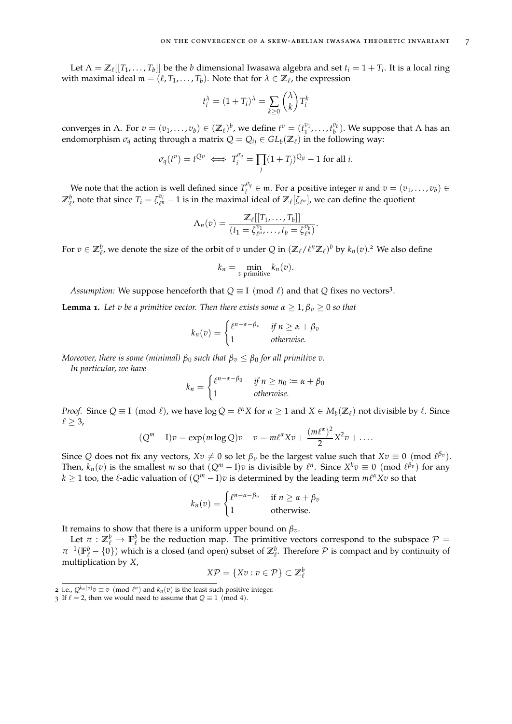Let  $\Lambda = \mathbb{Z}_\ell[[T_1,\ldots,T_b]]$  be the *b* dimensional Iwasawa algebra and set  $t_i = 1 + T_i$ . It is a local ring with maximal ideal  $\mathfrak{m} = (\ell, T_1, \ldots, T_b)$ . Note that for  $\lambda \in \mathbb{Z}_\ell$ , the expression

$$
t_i^{\lambda} = (1 + T_i)^{\lambda} = \sum_{k \ge 0} \binom{\lambda}{k} T_i^k
$$

converges in  $\Lambda$ . For  $v = (v_1, \ldots, v_b) \in (\mathbb{Z}_\ell)^b$ , we define  $t^v = (t_1^{v_1}, \ldots, t_b^{v_b})$ . We suppose that  $\Lambda$  has an endomorphism  $\sigma_q$  acting through a matrix  $Q = Q_{ij} \in GL_b(\mathbb{Z}_\ell)$  in the following way:

$$
\sigma_q(t^v) = t^{\mathcal{Q}v} \iff T_i^{\sigma_q} = \prod_j (1 + T_j)^{\mathcal{Q}_{ji}} - 1 \text{ for all } i.
$$

We note that the action is well defined since  $T_i^{\sigma_q}$  $e^{i\varphi}$   $\in$  **m**. For a positive integer *n* and  $v = (v_1, \ldots, v_b) \in$  $\mathbb{Z}_{\ell}^b$ , note that since  $T_i = \zeta_{\ell^n}^{v_i} - 1$  is in the maximal ideal of  $\mathbb{Z}_\ell[\zeta_{\ell^n}]$ , we can define the quotient

$$
\Lambda_n(v) = \frac{\mathbb{Z}_{\ell}[[T_1,\ldots,T_b]]}{(t_1 = \zeta_{\ell^n}^{v_1},\ldots,t_b = \zeta_{\ell^n}^{v_b})}.
$$

For  $v \in \mathbb{Z}_{\ell}^b$ , we denote the size of the orbit of  $v$  under  $Q$  in  $(\mathbb{Z}_{\ell}/\ell^n\mathbb{Z}_{\ell})^b$  by  $k_n(v)$ .<sup>2</sup> We also define

$$
k_n = \min_{v \text{ primitive}} k_n(v).
$$

*Assumption:* We suppose henceforth that  $Q \equiv I \pmod{\ell}$  and that  $Q$  fixes no vectors<sup>3</sup>.

<span id="page-6-0"></span>**Lemma 1.** Let v be a primitive vector. Then there exists some  $\alpha \geq 1$ ,  $\beta_v \geq 0$  so that

$$
k_n(v) = \begin{cases} \ell^{n-\alpha-\beta_v} & \text{if } n \ge \alpha + \beta_v \\ 1 & \text{otherwise.} \end{cases}
$$

*Moreover, there is some (minimal)*  $\beta_0$  *such that*  $\beta_v \leq \beta_0$  *for all primitive v.* 

*In particular, we have*

$$
k_n = \begin{cases} \ell^{n-\alpha-\beta_0} & \text{if } n \ge n_0 := \alpha + \beta_0 \\ 1 & \text{otherwise.} \end{cases}
$$

*Proof.* Since  $Q \equiv I \pmod{\ell}$ , we have  $\log Q = \ell^{\alpha} X$  for  $\alpha \geq 1$  and  $X \in M_b(\mathbb{Z}_\ell)$  not divisible by  $\ell$ . Since  $\ell \geq 3$ ,

$$
(Qm - I)v = \exp(m \log Q)v - v = m\ell^{\alpha} Xv + \frac{(m\ell^{\alpha})^2}{2}X^2v + \dots
$$

Since Q does not fix any vectors,  $Xv \neq 0$  so let  $\beta_v$  be the largest value such that  $Xv \equiv 0 \pmod{\ell^{\beta_v}}$ . Then,  $k_n(v)$  is the smallest *m* so that  $(Q^m - I)v$  is divisible by  $\ell^n$ . Since  $X^k v \equiv 0 \pmod{\ell^{\beta_v}}$  for any  $k \geq 1$  too, the  $\ell$ -adic valuation of  $(Q^m - I)v$  is determined by the leading term  $m\ell^{\alpha}Xv$  so that

$$
k_n(v) = \begin{cases} \ell^{n-\alpha-\beta_v} & \text{if } n \ge \alpha + \beta_v \\ 1 & \text{otherwise.} \end{cases}
$$

It remains to show that there is a uniform upper bound on  $\beta_v$ .

Let  $\pi: \mathbb{Z}_{\ell}^{b} \to \mathbb{F}_{\ell}^{b}$  be the reduction map. The primitive vectors correspond to the subspace  $\mathcal{P} =$  $\pi^{-1}(\mathbb{F}_\ell^b - \{0\})$  which is a closed (and open) subset of  $\mathbb{Z}_\ell^b$ . Therefore  $\mathcal P$  is compact and by continuity of multiplication by *X*,

$$
X\mathcal{P} = \{Xv : v \in \mathcal{P}\} \subset \mathbb{Z}_{\ell}^{b}
$$

<sup>2</sup> i.e.,  $Q^{k_n(v)}v \equiv v \pmod{\ell^n}$  and  $k_n(v)$  is the least such positive integer.

<sup>3</sup> If  $\ell = 2$ , then we would need to assume that  $Q \equiv 1 \pmod{4}$ .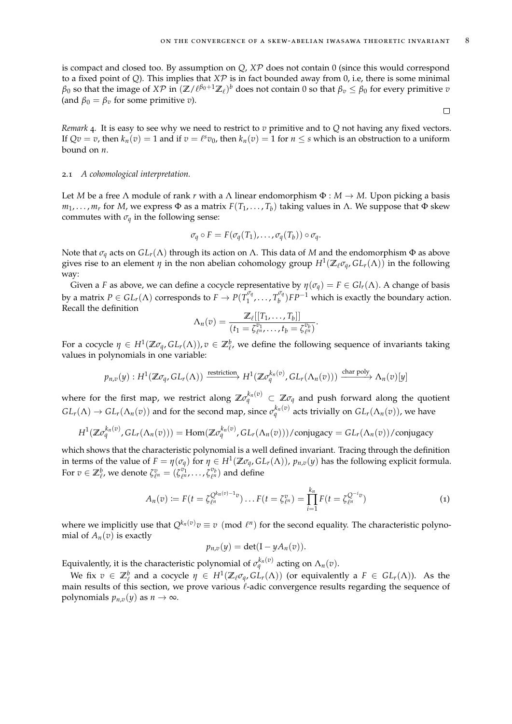is compact and closed too. By assumption on *Q*, *X*P does not contain 0 (since this would correspond to a fixed point of *Q*). This implies that *X*P is in fact bounded away from 0, i.e, there is some minimal  $\beta_0$  so that the image of  $X\mathcal{P}$  in  $(\mathbb{Z}/\ell^{\beta_0+1}\mathbb{Z}_\ell)^b$  does not contain 0 so that  $\beta_v\leq\beta_0$  for every primitive  $v$ (and  $\beta_0 = \beta_v$  for some primitive *v*).

*Remark* 4*.* It is easy to see why we need to restrict to *v* primitive and to *Q* not having any fixed vectors. If  $Qv = v$ , then  $k_n(v) = 1$  and if  $v = \ell^s v_0$ , then  $k_n(v) = 1$  for  $n \leq s$  which is an obstruction to a uniform bound on *n*.

## <span id="page-7-0"></span>2.1 *A cohomological interpretation.*

Let *M* be a free Λ module of rank *r* with a Λ linear endomorphism Φ : *M* → *M*. Upon picking a basis *m*1, . . . , *m<sup>r</sup>* for *M*, we express Φ as a matrix *F*(*T*1, . . . , *T<sup>b</sup>* ) taking values in Λ. We suppose that Φ skew commutes with  $\sigma_q$  in the following sense:

$$
\sigma_q \circ F = F(\sigma_q(T_1), \ldots, \sigma_q(T_b)) \circ \sigma_q.
$$

Note that *σ<sup>q</sup>* acts on *GLr*(Λ) through its action on Λ. This data of *M* and the endomorphism Φ as above gives rise to an element  $\eta$  in the non abelian cohomology group  $H^1(\mathbb{Z}_\ell \sigma_q, GL_r(\Lambda))$  in the following way:

Given a *F* as above, we can define a cocycle representative by  $\eta(\sigma_q) = F \in Gl_r(\Lambda)$ . A change of basis by a matrix  $P \in GL_r(\Lambda)$  corresponds to  $F \to P(T_1^{\sigma_q})$  $T_1^{\sigma_q}, \ldots, T_b^{\sigma_q}$  $\binom{p}{b}$  $FP^{-1}$  which is exactly the boundary action. Recall the definition

$$
\Lambda_n(v) = \frac{\mathbb{Z}_{\ell}[[T_1,\ldots,T_b]]}{(t_1 = \zeta_{\ell^n}^{v_1},\ldots,t_b = \zeta_{\ell^n}^{v_b})}.
$$

For a cocycle  $\eta \in H^1(\mathbb{Z}\sigma_q, GL_r(\Lambda))$ ,  $v \in \mathbb{Z}_{\ell}^b$ , we define the following sequence of invariants taking values in polynomials in one variable:

$$
p_{n,v}(y): H^1(\mathbb{Z}\sigma_q, GL_r(\Lambda)) \xrightarrow{\text{restriction}} H^1(\mathbb{Z}\sigma_q^{k_n(v)}, GL_r(\Lambda_n(v))) \xrightarrow{\text{char poly}} \Lambda_n(v)[y]
$$

where for the first map, we restrict along  $\Z\sigma_q^{k_n(v)}\,\subset\,\Z\sigma_q$  and push forward along the quotient  $GL_r(\Lambda) \to GL_r(\Lambda_n(v))$  and for the second map, since  $\sigma_q^{k_n(v)}$  acts trivially on  $GL_r(\Lambda_n(v))$ , we have

$$
H^{1}(\mathbb{Z}\sigma_{q}^{k_{n}(v)}, GL_{r}(\Lambda_{n}(v))) = \text{Hom}(\mathbb{Z}\sigma_{q}^{k_{n}(v)}, GL_{r}(\Lambda_{n}(v))) / \text{conjugacy} = GL_{r}(\Lambda_{n}(v))/\text{conjugacy}
$$

which shows that the characteristic polynomial is a well defined invariant. Tracing through the definition in terms of the value of  $F = \eta(\sigma_q)$  for  $\eta \in H^1(\mathbb{Z}\sigma_q, GL_r(\Lambda))$ ,  $p_{n,v}(y)$  has the following explicit formula. For  $v \in \mathbb{Z}_{\ell}^b$ , we denote  $\zeta_{\ell^n}^v = (\zeta_{\ell^n}^{v_1}, \ldots, \zeta_{\ell^n}^{v_b})$  and define

$$
A_n(v) := F(t = \zeta_{\ell^n}^{Q^{k_n(v)-1}v}) \dots F(t = \zeta_{\ell^n}^v) = \prod_{i=1}^{k_n} F(t = \zeta_{\ell^n}^{Q^{-i}v})
$$
(1)

where we implicitly use that  $Q^{k_n(v)}v \equiv v \pmod{\ell^n}$  for the second equality. The characteristic polynomial of  $A_n(v)$  is exactly

$$
p_{n,v}(y) = \det(\mathbf{I} - yA_n(v)).
$$

Equivalently, it is the characteristic polynomial of  $\sigma_q^{k_n(v)}$  acting on  $\Lambda_n(v)$ .

We fix  $v \in \mathbb{Z}_{\ell}^b$  and a cocycle  $\eta \in H^1(\mathbb{Z}_{\ell} \sigma_q, GL_r(\Lambda))$  (or equivalently a  $F \in GL_r(\Lambda)$ ). As the main results of this section, we prove various  $\ell$ -adic convergence results regarding the sequence of polynomials  $p_{n,v}(y)$  as  $n \to \infty$ .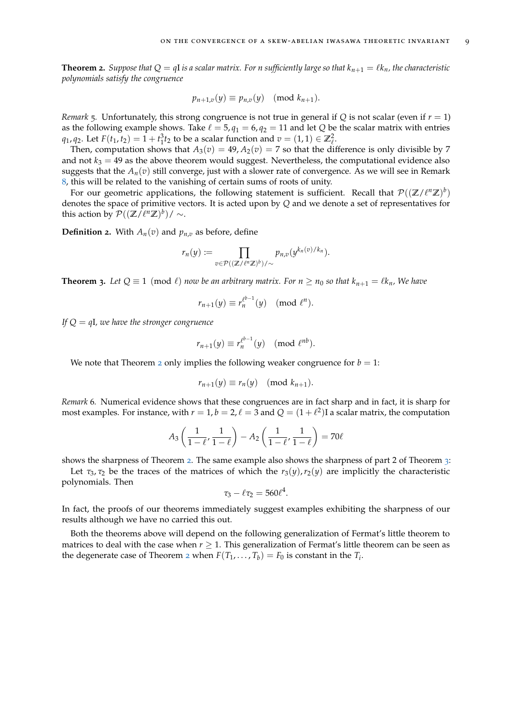<span id="page-8-1"></span>**Theorem 2.** Suppose that  $Q = qI$  is a scalar matrix. For *n* sufficiently large so that  $k_{n+1} = \ell k_n$ , the characteristic *polynomials satisfy the congruence*

$$
p_{n+1,v}(y) \equiv p_{n,v}(y) \pmod{k_{n+1}}.
$$

<span id="page-8-2"></span>*Remark* 5*.* Unfortunately, this strong congruence is not true in general if *Q* is not scalar (even if *r* = 1) as the following example shows. Take  $\ell = 5$ ,  $q_1 = 6$ ,  $q_2 = 11$  and let *Q* be the scalar matrix with entries *q*<sub>1</sub>, *q*<sub>2</sub>. Let *F*(*t*<sub>1</sub>, *t*<sub>2</sub>) = 1 + *t*<sub>1</sub><sup>2</sup>*t*<sub>2</sub> to be a scalar function and *v* = (1, 1)  $\in \mathbb{Z}_{\ell}^{2}$ .

Then, computation shows that  $A_3(v) = 49$ ,  $A_2(v) = 7$  so that the difference is only divisible by 7 and not  $k_3 = 49$  as the above theorem would suggest. Nevertheless, the computational evidence also suggests that the  $A_n(v)$  still converge, just with a slower rate of convergence. As we will see in Remark [8](#page-13-0), this will be related to the vanishing of certain sums of roots of unity.

For our geometric applications, the following statement is sufficient. Recall that  $\mathcal{P}((\mathbb{Z}/\ell^n\mathbb{Z})^b)$ denotes the space of primitive vectors. It is acted upon by *Q* and we denote a set of representatives for this action by  $\mathcal{P}((\mathbb{Z}/\ell^n\mathbb{Z})^b)/\sim$ .

**Definition 2.** With  $A_n(v)$  and  $p_{n,v}$  as before, define

$$
r_n(y) := \prod_{v \in \mathcal{P}((\mathbb{Z}/\ell^n\mathbb{Z})^b)/\sim} p_{n,v}(y^{k_n(v)/k_n}).
$$

<span id="page-8-0"></span>**Theorem 3.** Let  $Q \equiv 1 \pmod{\ell}$  *now be an arbitrary matrix. For*  $n \ge n_0$  *so that*  $k_{n+1} = \ell k_n$ *, We have* 

$$
r_{n+1}(y) \equiv r_n^{\ell^{b-1}}(y) \pmod{\ell^n}.
$$

*If Q* = *q*I*, we have the stronger congruence*

$$
r_{n+1}(y) \equiv r_n^{\ell^{b-1}}(y) \pmod{\ell^{nb}}.
$$

We note that Theorem [2](#page-8-1) only implies the following weaker congruence for  $b = 1$ :

$$
r_{n+1}(y) \equiv r_n(y) \pmod{k_{n+1}}.
$$

<span id="page-8-3"></span>*Remark* 6*.* Numerical evidence shows that these congruences are in fact sharp and in fact, it is sharp for most examples. For instance, with  $r = 1$ ,  $b = 2$ ,  $\ell = 3$  and  $Q = (1 + \ell^2)I$  a scalar matrix, the computation

$$
A_3\left(\frac{1}{1-\ell},\frac{1}{1-\ell}\right) - A_2\left(\frac{1}{1-\ell},\frac{1}{1-\ell}\right) = 70\ell
$$

shows the sharpness of Theorem [2](#page-8-1). The same example also shows the sharpness of part 2 of Theorem [3](#page-8-0):

Let  $\tau_3$ ,  $\tau_2$  be the traces of the matrices of which the  $r_3(y)$ ,  $r_2(y)$  are implicitly the characteristic polynomials. Then

$$
\tau_3-\ell\tau_2=560\ell^4.
$$

In fact, the proofs of our theorems immediately suggest examples exhibiting the sharpness of our results although we have no carried this out.

Both the theorems above will depend on the following generalization of Fermat's little theorem to matrices to deal with the case when  $r \geq 1$ . This generalization of Fermat's little theorem can be seen as the degenerate case of Theorem [2](#page-8-1) when  $F(T_1, \ldots, T_b) = F_0$  is constant in the  $T_i$ .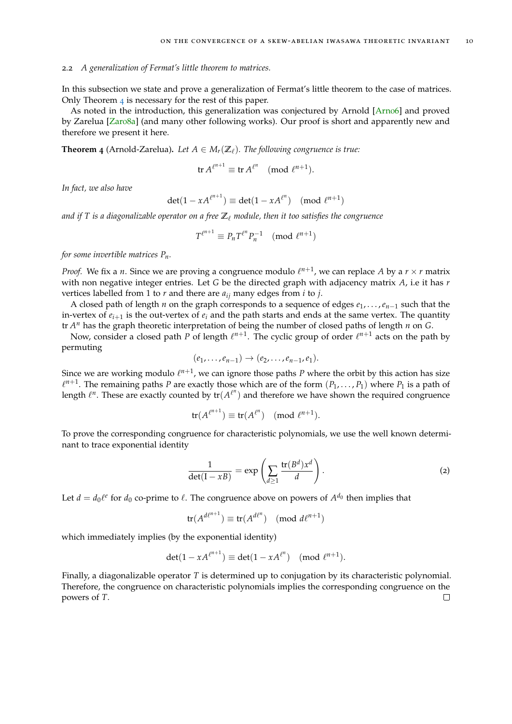## <span id="page-9-0"></span>2.2 *A generalization of Fermat's little theorem to matrices.*

In this subsection we state and prove a generalization of Fermat's little theorem to the case of matrices. Only Theorem [4](#page-9-1) is necessary for the rest of this paper.

As noted in the introduction, this generalization was conjectured by Arnold [\[Arn](#page-28-2)o6] and proved by Zarelua [\[Zar](#page-28-3)o8a] (and many other following works). Our proof is short and apparently new and therefore we present it here.

<span id="page-9-1"></span>**Theorem 4** (Arnold-Zarelua). Let  $A \in M_r(\mathbb{Z}_\ell)$ . The following congruence is true:

$$
\operatorname{tr} A^{\ell^{n+1}} \equiv \operatorname{tr} A^{\ell^n} \pmod{\ell^{n+1}}.
$$

*In fact, we also have*

$$
\det(1 - xA^{\ell^{n+1}}) \equiv \det(1 - xA^{\ell^n}) \pmod{\ell^{n+1}}
$$

*and if* T is a diagonalizable operator on a free  $\mathbb{Z}_\ell$  module, then it too satisfies the congruence

$$
T^{\ell^{n+1}} \equiv P_n T^{\ell^n} P_n^{-1} \pmod{\ell^{n+1}}
$$

*for some invertible matrices Pn.*

*Proof.* We fix a *n*. Since we are proving a congruence modulo  $\ell^{n+1}$ , we can replace A by a  $r \times r$  matrix with non negative integer entries. Let *G* be the directed graph with adjacency matrix *A*, i.e it has *r* vertices labelled from 1 to *r* and there are *aij* many edges from *i* to *j*.

A closed path of length *n* on the graph corresponds to a sequence of edges *e*1, . . . ,*en*−<sup>1</sup> such that the in-vertex of  $e_{i+1}$  is the out-vertex of  $e_i$  and the path starts and ends at the same vertex. The quantity tr *A <sup>n</sup>* has the graph theoretic interpretation of being the number of closed paths of length *n* on *G*.

Now, consider a closed path P of length  $\ell^{n+1}$ . The cyclic group of order  $\ell^{n+1}$  acts on the path by permuting

$$
(e_1,\ldots,e_{n-1})\to (e_2,\ldots,e_{n-1},e_1).
$$

Since we are working modulo  $\ell^{n+1}$ , we can ignore those paths *P* where the orbit by this action has size  $\ell^{n+1}$ . The remaining paths *P* are exactly those which are of the form  $(P_1, \ldots, P_1)$  where  $P_1$  is a path of length  $\ell^n$ . These are exactly counted by  $tr(A^{\ell^n})$  and therefore we have shown the required congruence

$$
\operatorname{tr}(A^{\ell^{n+1}}) \equiv \operatorname{tr}(A^{\ell^n}) \pmod{\ell^{n+1}}.
$$

To prove the corresponding congruence for characteristic polynomials, we use the well known determinant to trace exponential identity

<span id="page-9-2"></span>
$$
\frac{1}{\det(I - xB)} = \exp\left(\sum_{d \ge 1} \frac{\text{tr}(B^d) x^d}{d}\right).
$$
 (2)

Let  $d = d_0 \ell^e$  for  $d_0$  co-prime to  $\ell$ . The congruence above on powers of  $A^{d_0}$  then implies that

$$
\operatorname{tr}(A^{d\ell^{n+1}}) \equiv \operatorname{tr}(A^{d\ell^n}) \pmod{d\ell^{n+1}}
$$

which immediately implies (by the exponential identity)

$$
\det(1 - xA^{\ell^{n+1}}) \equiv \det(1 - xA^{\ell^n}) \pmod{\ell^{n+1}}.
$$

Finally, a diagonalizable operator *T* is determined up to conjugation by its characteristic polynomial. Therefore, the congruence on characteristic polynomials implies the corresponding congruence on the powers of *T*. $\Box$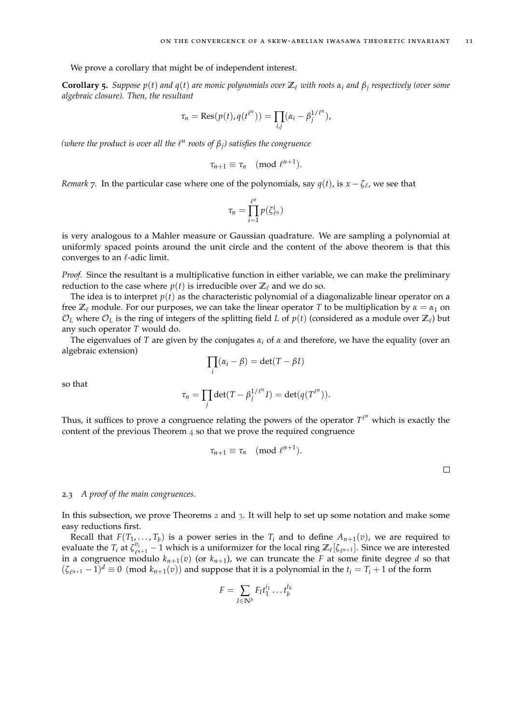We prove a corollary that might be of independent interest.

<span id="page-10-1"></span>**Corollary 5.** Suppose  $p(t)$  and  $q(t)$  are monic polynomials over  $\mathbb{Z}_\ell$  with roots  $\alpha_i$  and  $\beta_j$  respectively (over some *algebraic closure). Then, the resultant*

$$
\tau_n = \text{Res}(p(t), q(t^{\ell^n})) = \prod_{i,j} (\alpha_i - \beta_j^{1/\ell^n}),
$$

 $(\text{where the product is over all the } \ell^n \text{ roots of } \beta_j) \text{ satisfies the congruence}$ 

$$
\tau_{n+1} \equiv \tau_n \pmod{\ell^{n+1}}.
$$

*Remark* 7. In the particular case where one of the polynomials, say  $q(t)$ , is  $x - \zeta_{\ell}$ , we see that

$$
\tau_n=\prod_{i=1}^{\ell^n}p(\zeta_{\ell^n}^i)
$$

is very analogous to a Mahler measure or Gaussian quadrature. We are sampling a polynomial at uniformly spaced points around the unit circle and the content of the above theorem is that this converges to an  $\ell$ -adic limit.

*Proof.* Since the resultant is a multiplicative function in either variable, we can make the preliminary reduction to the case where  $p(t)$  is irreducible over  $\mathbb{Z}_\ell$  and we do so.

The idea is to interpret  $p(t)$  as the characteristic polynomial of a diagonalizable linear operator on a free  $\mathbb{Z}_\ell$  module. For our purposes, we can take the linear operator *T* to be multiplication by  $\alpha = \alpha_1$  on  $\mathcal{O}_L$  where  $\mathcal{O}_L$  is the ring of integers of the splitting field *L* of  $p(t)$  (considered as a module over  $\mathbb{Z}_\ell$ ) but any such operator *T* would do.

The eigenvalues of *T* are given by the conjugates  $\alpha_i$  of  $\alpha$  and therefore, we have the equality (over an algebraic extension)

$$
\prod_i (\alpha_i - \beta) = \det(T - \beta I)
$$

so that

$$
\tau_n = \prod_j \det(T - \beta_j^{1/\ell^n} I) = \det(q(T^{\ell^n})).
$$

Thus, it suffices to prove a congruence relating the powers of the operator  $T^{\ell^n}$  which is exactly the content of the previous Theorem  $\frac{4}{1}$  $\frac{4}{1}$  $\frac{4}{1}$  so that we prove the required congruence

$$
\tau_{n+1}\equiv \tau_n\pmod{\ell^{n+1}}.
$$

 $\Box$ 

## <span id="page-10-0"></span>2.3 *A proof of the main congruences.*

In this subsection, we prove Theorems [2](#page-8-1) and [3](#page-8-0). It will help to set up some notation and make some easy reductions first.

Recall that  $F(T_1, \ldots, T_b)$  is a power series in the  $T_i$  and to define  $A_{n+1}(v)$ , we are required to evaluate the  $T_i$  at  $\bar{\zeta}_{\ell}^{v_i}$  $\ell_{\ell^{n+1}}$  – 1 which is a uniformizer for the local ring  $\mathbb{Z}_{\ell}[\zeta_{\ell^{n+1}}]$ . Since we are interested in a congruence modulo  $k_{n+1}(v)$  (or  $k_{n+1}$ ), we can truncate the *F* at some finite degree *d* so that  $(\zeta_{\ell^{n+1}} - 1)^d \equiv 0 \pmod{k_{n+1}(v)}$  and suppose that it is a polynomial in the  $t_i = T_i + 1$  of the form

$$
F = \sum_{I \in \mathbb{N}^b} F_I t_1^{i_1} \dots t_b^{i_b}
$$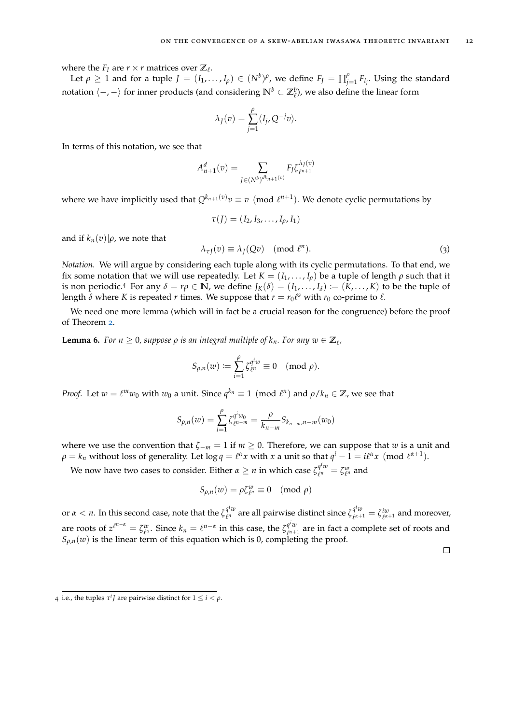where the  $F_I$  are  $r \times r$  matrices over  $\mathbb{Z}_l$ .

Let  $\rho \geq 1$  and for a tuple  $J = (I_1, \ldots, I_\rho) \in (N^b)^\rho$ , we define  $F_J = \prod_{j=1}^\rho F_{I_j}$ . Using the standard notation h−, −i for inner products (and considering **N***<sup>b</sup>* ⊂ **Z***<sup>b</sup>* ` ), we also define the linear form

$$
\lambda_J(v) = \sum_{j=1}^{\rho} \langle I_j, Q^{-j}v \rangle.
$$

In terms of this notation, we see that

$$
A_{n+1}^d(v) = \sum_{J \in (N^b)^{dk_{n+1}(v)}} F_J \zeta_{\ell^{n+1}}^{\lambda_J(v)}
$$

where we have implicitly used that  $Q^{k_{n+1}(v)}v \equiv v \pmod{l^{n+1}}$ . We denote cyclic permutations by

$$
\tau(J)=(I_2,I_3,\ldots,I_\rho,I_1)
$$

and if  $k_n(v)|\rho$ , we note that

<span id="page-11-0"></span>
$$
\lambda_{\tau J}(v) \equiv \lambda_J(Qv) \pmod{\ell^n}.
$$
 (3)

*Notation.* We will argue by considering each tuple along with its cyclic permutations. To that end, we fix some notation that we will use repeatedly. Let  $K = (I_1, \ldots, I_\rho)$  be a tuple of length  $\rho$  such that it is non periodic.<sup>4</sup> For any  $\delta = r\rho \in \mathbb{N}$ , we define  $J_K(\delta) = (I_1, \ldots, I_\delta) := (K, \ldots, K)$  to be the tuple of length  $\delta$  where K is repeated  $r$  times. We suppose that  $r = r_0 \ell^s$  with  $r_0$  co-prime to  $\ell$ .

We need one more lemma (which will in fact be a crucial reason for the congruence) before the proof of Theorem [2](#page-8-1).

<span id="page-11-1"></span>**Lemma 6.** For  $n \geq 0$ , suppose  $\rho$  is an integral multiple of  $k_n$ . For any  $w \in \mathbb{Z}_\ell$ ,

$$
S_{\rho,n}(w):=\sum_{i=1}^\rho \zeta_{\ell^n}^{q^iw}\equiv 0\pmod{\rho}.
$$

*Proof.* Let  $w = \ell^m w_0$  with  $w_0$  a unit. Since  $q^{k_n} \equiv 1 \pmod{\ell^n}$  and  $\rho / k_n \in \mathbb{Z}$ , we see that

$$
S_{\rho,n}(w) = \sum_{i=1}^{\rho} \zeta_{\ell n-m}^{q^i w_0} = \frac{\rho}{k_{n-m}} S_{k_{n-m},n-m}(w_0)
$$

where we use the convention that  $\zeta_{-m} = 1$  if  $m \geq 0$ . Therefore, we can suppose that *w* is a unit and  $\rho = k_n$  without loss of generality. Let  $\log q = \ell^{\alpha} x$  with  $x$  a unit so that  $q^i - 1 = i\ell^{\alpha} x \pmod{\ell^{\alpha+1}}$ .

We now have two cases to consider. Either  $\alpha \geq n$  in which case  $\zeta_{\ell^n}^{q^i w}$  $\ell_n^{\mu w} = \zeta_{\ell^n}^w$  and

$$
S_{\rho,n}(w) = \rho \zeta_{\ell^n}^w \equiv 0 \pmod{\rho}
$$

or  $\alpha < n$ . In this second case, note that the  $\zeta_{\ell^n}^{q^i w}$  $\varrho^{i}w$  are all pairwise distinct since  $\zeta_{\ell^{\alpha+1}}^{q^iw}$  $q^i w \over \ell^{\alpha+1}} = \zeta_{\ell^{\alpha+1}}^{iw}$  and moreover, are roots of  $z^{\ell^{n-\alpha}} = \zeta^w_{\ell^{\alpha}}$ . Since  $k_n = \ell^{n-\alpha}$  in this case, the  $\zeta^{\sigma^i w}_{\ell^{\alpha+1}}$  $\int_{\ell^{\alpha+1}}^{\eta^{\alpha}}$  are in fact a complete set of roots and  $S_{\rho,n}(w)$  is the linear term of this equation which is 0, completing the proof.

<sup>4</sup> i.e., the tuples  $\tau^i J$  are pairwise distinct for  $1 \leq i < \rho$ .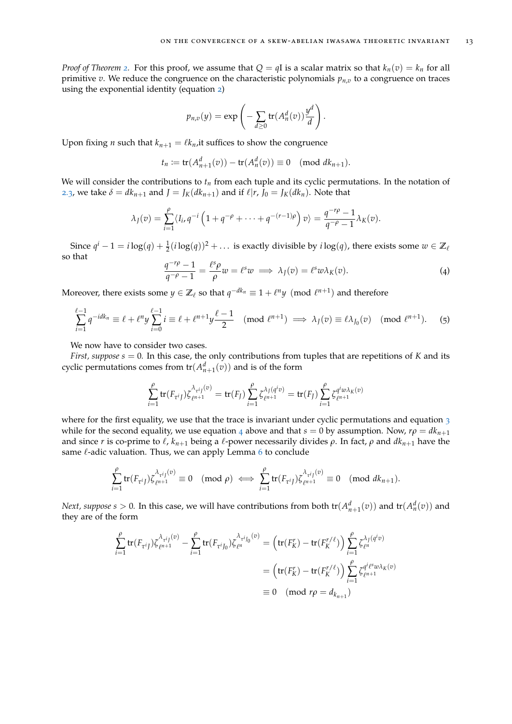*Proof of Theorem [2](#page-8-1).* For this proof, we assume that  $Q = qI$  is a scalar matrix so that  $k_n(v) = k_n$  for all primitive *v*. We reduce the congruence on the characteristic polynomials  $p_{n,v}$  to a congruence on traces using the exponential identity (equation [2](#page-9-2))

$$
p_{n,v}(y) = \exp\left(-\sum_{d\geq 0} tr(A_n^d(v))\frac{y^d}{d}\right).
$$

Upon fixing *n* such that  $k_{n+1} = \ell k_n$ , it suffices to show the congruence

$$
t_n := tr(A_{n+1}^d(v)) - tr(A_n^d(v)) \equiv 0 \pmod{dk_{n+1}}.
$$

We will consider the contributions to  $t_n$  from each tuple and its cyclic permutations. In the notation of [2](#page-11-0).3, we take  $\delta = dk_{n+1}$  and  $J = J_K(dk_{n+1})$  and if  $\ell | r, J_0 = J_K(dk_n)$ . Note that

$$
\lambda_J(v) = \sum_{i=1}^{\rho} \langle I_i, q^{-i} \left( 1 + q^{-\rho} + \cdots + q^{-(r-1)\rho} \right) v \rangle = \frac{q^{-r\rho} - 1}{q^{-\rho} - 1} \lambda_K(v).
$$

<span id="page-12-0"></span>Since  $q^i - 1 = i \log(q) + \frac{1}{2}(i \log(q))^2 + \dots$  is exactly divisible by  $i \log(q)$ , there exists some  $w \in \mathbb{Z}_\ell$ so that

<span id="page-12-1"></span>
$$
\frac{q^{-r\rho}-1}{q^{-\rho}-1} = \frac{\ell^s \rho}{\rho} w = \ell^s w \implies \lambda_J(v) = \ell^s w \lambda_K(v). \tag{4}
$$

Moreover, there exists some  $y \in \mathbb{Z}_\ell$  so that  $q^{-dk_n} \equiv 1 + \ell^n y \pmod {\ell^{n+1}}$  and therefore

$$
\sum_{i=1}^{\ell-1} q^{-idk_n} \equiv \ell + \ell^n y \sum_{i=0}^{\ell-1} i \equiv \ell + \ell^{n+1} y \frac{\ell-1}{2} \pmod{\ell^{n+1}} \implies \lambda_J(v) \equiv \ell \lambda_{J_0}(v) \pmod{\ell^{n+1}}. \tag{5}
$$

We now have to consider two cases.

*First, suppose s* = 0*.* In this case, the only contributions from tuples that are repetitions of *K* and its cyclic permutations comes from  $tr(A_{n+1}^d(v))$  and is of the form

$$
\sum_{i=1}^{\rho} \text{tr}(F_{\tau^{i} f}) \zeta_{\ell^{n+1}}^{\lambda_{\tau^{i} f}(\nu)} = \text{tr}(F_{f}) \sum_{i=1}^{\rho} \zeta_{\ell^{n+1}}^{\lambda_{f} (q^{i} v)} = \text{tr}(F_{f}) \sum_{i=1}^{\rho} \zeta_{\ell^{n+1}}^{q^{i} w \lambda_{K}(\nu)}
$$

where for the first equality, we use that the trace is invariant under cyclic permutations and equation  $3$ while for the second equality, we use equation [4](#page-12-0) above and that  $s = 0$  by assumption. Now,  $r\rho = dk_{n+1}$ and since *r* is co-prime to  $\ell$ ,  $k_{n+1}$  being a  $\ell$ -power necessarily divides  $\rho$ . In fact,  $\rho$  and  $dk_{n+1}$  have the same  $\ell$ -adic valuation. Thus, we can apply Lemma  $6$  to conclude

$$
\sum_{i=1}^{\rho} \operatorname{tr}(F_{\tau^{i} j}) \zeta^{\lambda_{\tau^{i} j}(v)}_{\ell^{n+1}} \equiv 0 \pmod{\rho} \iff \sum_{i=1}^{\rho} \operatorname{tr}(F_{\tau^{i} j}) \zeta^{\lambda_{\tau^{i} j}(v)}_{\ell^{n+1}} \equiv 0 \pmod{dk_{n+1}}.
$$

*Next, suppose*  $s > 0$ . In this case, we will have contributions from both  $tr(A_{n+1}^d(v))$  and  $tr(A_n^d(v))$  and they are of the form

$$
\sum_{i=1}^{\rho} tr(F_{\tau^{i}J}) \zeta_{\ell^{n+1}}^{\lambda_{\tau^{i}J}(\nu)} - \sum_{i=1}^{\rho} tr(F_{\tau^{i}J_{0}}) \zeta_{\ell^{n}}^{\lambda_{\tau^{i}J_{0}}(\nu)} = \left( tr(F_{K}^{r}) - tr(F_{K}^{r/\ell}) \right) \sum_{i=1}^{\rho} \zeta_{\ell^{n}}^{\lambda_{\tau^{i}J}(\varphi^{i}\nu)}
$$

$$
= \left( tr(F_{K}^{r}) - tr(F_{K}^{r/\ell}) \right) \sum_{i=1}^{\rho} \zeta_{\ell^{n+1}}^{\varphi^{i}(\ell^{s}\nu\lambda_{K}(\nu))}
$$

$$
\equiv 0 \pmod{r\rho} = d_{k_{n+1}}
$$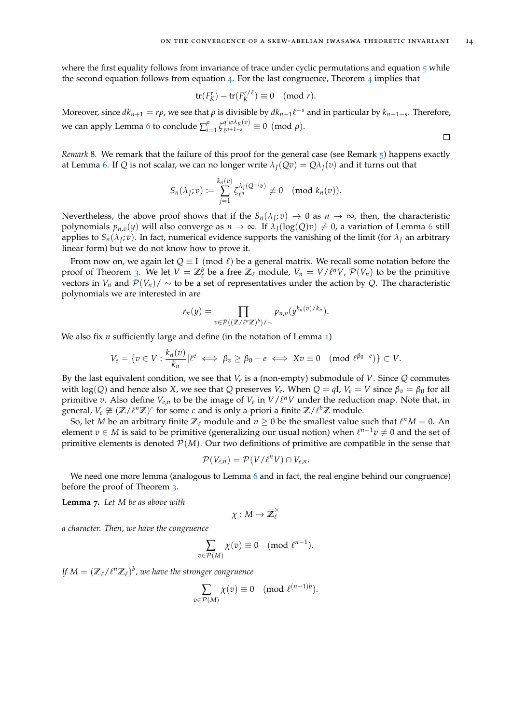where the first equality follows from invariance of trace under cyclic permutations and equation  $5$  while the second equation follows from equation  $4$ . For the last congruence, Theorem  $4$  implies that

$$
\operatorname{tr}(F_K^r)-\operatorname{tr}(F_K^{r/\ell})\equiv 0\pmod{r}.
$$

Moreover, since  $dk_{n+1} = r\rho$ , we see that  $\rho$  is divisible by  $dk_{n+1}\ell^{-s}$  and in particular by  $k_{n+1-s}$ . Therefore, we can apply Lemma [6](#page-11-1) to conclude  $\sum_{i=1}^{p} \zeta_{\ell^{n+1-s}}^{q^i w \lambda_K(v)}$  $\int_{\ell^{n+1-s}}^{\ell^{n}\omega_{\Lambda K}(\nu)}\equiv 0 \pmod{\rho}.$ 

<span id="page-13-0"></span>*Remark* 8*.* We remark that the failure of this proof for the general case (see Remark [5](#page-8-2)) happens exactly at Lemma [6](#page-11-1). If *Q* is not scalar, we can no longer write  $\lambda_I(Qv) = Q\lambda_I(v)$  and it turns out that

$$
S_n(\lambda_J; v) := \sum_{j=1}^{k_n(v)} \zeta_{\ell^n}^{\lambda_j(Q^{-j}v)} \not\equiv 0 \pmod{k_n(v)}.
$$

Nevertheless, the above proof shows that if the  $S_n(\lambda_J; v) \to 0$  as  $n \to \infty$ , then, the characteristic polynomials  $p_{n,v}(y)$  will also converge as  $n \to \infty$ . If  $\lambda_I(\log(Q)v) \neq 0$ , a variation of Lemma [6](#page-11-1) still applies to  $S_n(\lambda_J; v)$ . In fact, numerical evidence supports the vanishing of the limit (for  $\lambda_J$  an arbitrary linear form) but we do not know how to prove it.

From now on, we again let  $Q \equiv I \pmod{\ell}$  be a general matrix. We recall some notation before the proof of Theorem [3](#page-8-0). We let  $V = \mathbb{Z}_{\ell}^{b}$  be a free  $\mathbb{Z}_{\ell}$  module,  $V_n = V/\ell^n V$ ,  $\mathcal{P}(V_n)$  to be the primitive vectors in  $V_n$  and  $\mathcal{P}(V_n)/\sim$  to be a set of representatives under the action by Q. The characteristic polynomials we are interested in are

$$
r_n(y) = \prod_{v \in \mathcal{P}((\mathbb{Z}/\ell^n\mathbb{Z})^b)/\sim} p_{n,v}(y^{k_n(v)/k_n}).
$$

We also fix *n* sufficiently large and define (in the notation of Lemma [1](#page-6-0))

$$
V_e = \{v \in V : \frac{k_n(v)}{k_n} | \ell^e \iff \beta_v \ge \beta_0 - e \iff Xv \equiv 0 \pmod{\ell^{\beta_0 - e}}\} \subset V.
$$

By the last equivalent condition, we see that *V<sup>e</sup>* is a (non-empty) submodule of *V*. Since *Q* commutes with  $\log(Q)$  and hence also *X*, we see that  $Q$  preserves  $V_e$ . When  $Q = qI$ ,  $V_e = V$  since  $\beta_v = \beta_0$  for all primitive *v*. Also define  $V_{e,n}$  to be the image of  $V_e$  in  $V/\ell^n V$  under the reduction map. Note that, in general,  $V_e \not\cong (\mathbb{Z}/\ell^n \mathbb{Z})^c$  for some *c* and is only a-priori a finite  $\mathbb{Z}/\ell^b \mathbb{Z}$  module.

So, let M be an arbitrary finite  $\mathbb{Z}_\ell$  module and  $n \geq 0$  be the smallest value such that  $\ell^n M = 0$ . An element  $v \in M$  is said to be primitive (generalizing our usual notion) when  $\ell^{n-1}v \neq 0$  and the set of primitive elements is denoted  $\mathcal{P}(M)$ . Our two definitions of primitive are compatible in the sense that

$$
\mathcal{P}(V_{e,n})=\mathcal{P}(V/\ell^n V)\cap V_{e,n}.
$$

We need one more lemma (analogous to Lemma [6](#page-11-1) and in fact, the real engine behind our congruence) before the proof of Theorem [3](#page-8-0).

<span id="page-13-1"></span>**Lemma 7.** *Let M be as above with*

$$
\chi:M\to \overline{\mathbb{Z}}_\ell^\times
$$

*a character. Then, we have the congruence*

$$
\sum_{v \in \mathcal{P}(M)} \chi(v) \equiv 0 \pmod{\ell^{n-1}}.
$$

If  $M = (\mathbb{Z}_\ell/\ell^n\mathbb{Z}_\ell)^b$ , we have the stronger congruence

$$
\sum_{v \in \mathcal{P}(M)} \chi(v) \equiv 0 \pmod{\ell^{(n-1)b}}.
$$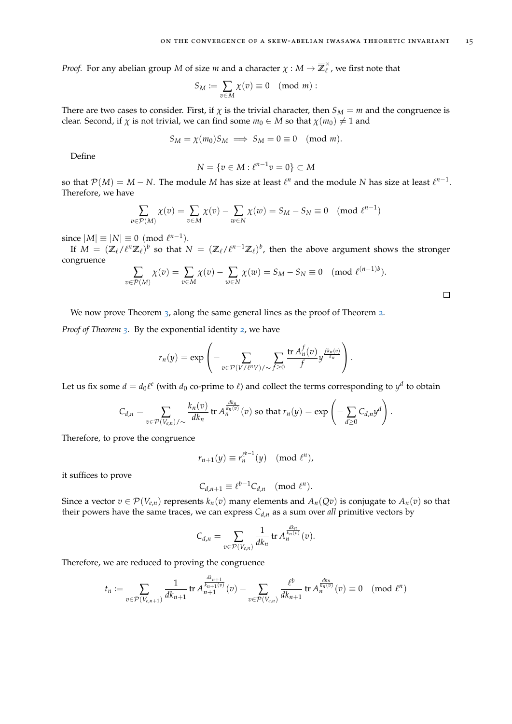*Proof.* For any abelian group *M* of size *m* and a character  $\chi : M \to \overline{\mathbb{Z}}_{\ell}^{\times}$  $\hat{\ell}$  , we first note that

$$
S_M := \sum_{v \in M} \chi(v) \equiv 0 \pmod{m} :
$$

There are two cases to consider. First, if  $\chi$  is the trivial character, then  $S_M = m$  and the congruence is clear. Second, if  $\chi$  is not trivial, we can find some  $m_0 \in M$  so that  $\chi(m_0) \neq 1$  and

$$
S_M = \chi(m_0) S_M \implies S_M = 0 \equiv 0 \pmod{m}.
$$

Define

$$
N = \{v \in M : \ell^{n-1}v = 0\} \subset M
$$

so that  $\mathcal{P}(M) = M - N$ . The module *M* has size at least  $\ell^n$  and the module *N* has size at least  $\ell^{n-1}$ . Therefore, we have

$$
\sum_{v \in \mathcal{P}(M)} \chi(v) = \sum_{v \in M} \chi(v) - \sum_{w \in N} \chi(w) = S_M - S_N \equiv 0 \pmod{\ell^{n-1}}
$$

since  $|M| \equiv |N| \equiv 0 \pmod{\ell^{n-1}}$ .

If  $M = (\mathbb{Z}_\ell/\ell^n\mathbb{Z}_\ell)^b$  so that  $N = (\mathbb{Z}_\ell/\ell^{n-1}\mathbb{Z}_\ell)^b$ , then the above argument shows the stronger congruence

$$
\sum_{v \in \mathcal{P}(M)} \chi(v) = \sum_{v \in M} \chi(v) - \sum_{w \in N} \chi(w) = S_M - S_N \equiv 0 \pmod{\ell^{(n-1)b}}.
$$

We now prove Theorem [3](#page-8-0), along the same general lines as the proof of Theorem [2](#page-8-1).

*Proof of Theorem [3](#page-8-0).* By the exponential identity [2](#page-9-2), we have

$$
r_n(y) = \exp\left(-\sum_{v \in \mathcal{P}(V/\ell^n V)/\sim f \geq 0} \frac{\operatorname{tr} A_n^f(v)}{f} y^{\frac{f k_n(v)}{k_n}}\right).
$$

Let us fix some  $d = d_0 \ell^e$  (with  $d_0$  co-prime to  $\ell$ ) and collect the terms corresponding to  $y^d$  to obtain

$$
C_{d,n} = \sum_{v \in \mathcal{P}(V_{e,n})/\sim} \frac{k_n(v)}{dk_n} \operatorname{tr} A_n^{\frac{dk_n}{k_n(v)}}(v) \text{ so that } r_n(y) = \exp \left(-\sum_{d \geq 0} C_{d,n} y^d\right).
$$

Therefore, to prove the congruence

$$
r_{n+1}(y) \equiv r_n^{\ell^{b-1}}(y) \pmod{\ell^n},
$$

it suffices to prove

$$
C_{d,n+1} \equiv \ell^{b-1} C_{d,n} \pmod{\ell^n}.
$$

Since a vector  $v \in \mathcal{P}(V_{e,n})$  represents  $k_n(v)$  many elements and  $A_n(Qv)$  is conjugate to  $A_n(v)$  so that their powers have the same traces, we can express  $C_{d,n}$  as a sum over *all* primitive vectors by

$$
C_{d,n} = \sum_{v \in \mathcal{P}(V_{e,n})} \frac{1}{dk_n} \operatorname{tr} A_n^{\frac{dk_n}{k_n(v)}}(v).
$$

Therefore, we are reduced to proving the congruence

$$
t_n := \sum_{v \in \mathcal{P}(V_{e,n+1})} \frac{1}{dk_{n+1}} \operatorname{tr} A_{n+1}^{\frac{dk_{n+1}}{k_{n+1}(v)}}(v) - \sum_{v \in \mathcal{P}(V_{e,n})} \frac{\ell^b}{dk_{n+1}} \operatorname{tr} A_n^{\frac{dk_n}{k_n(v)}}(v) \equiv 0 \pmod{\ell^n}
$$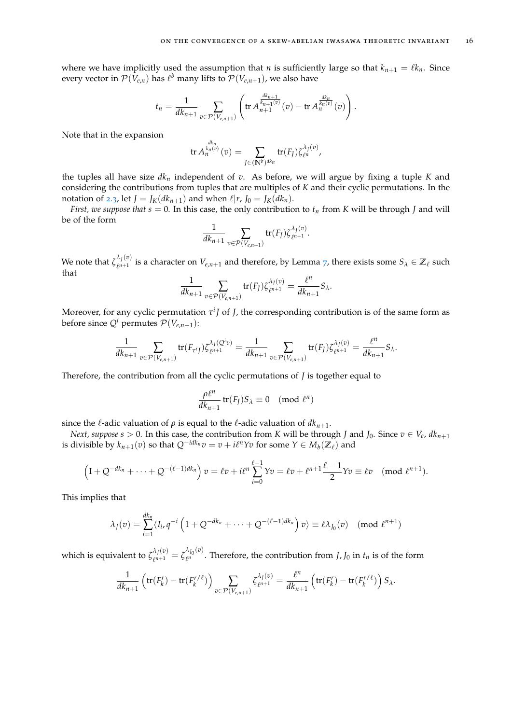.

where we have implicitly used the assumption that *n* is sufficiently large so that  $k_{n+1} = \ell k_n$ . Since every vector in  $\mathcal{P}(V_{e,n})$  has  $\ell^b$  many lifts to  $\mathcal{P}(V_{e,n+1})$ , we also have

$$
t_n = \frac{1}{dk_{n+1}} \sum_{v \in \mathcal{P}(V_{e,n+1})} \left( \text{tr } A_{n+1}^{\frac{dk_{n+1}}{k_{n+1}(v)}}(v) - \text{tr } A_n^{\frac{dk_n}{k_n(v)}}(v) \right).
$$

Note that in the expansion

$$
\operatorname{tr} A_n^{\frac{dk_n}{k_n(v)}}(v) = \sum_{J \in (\mathbb{N}^b)^{dk_n}} \operatorname{tr}(F_J) \zeta_{\ell^n}^{\lambda_J(v)},
$$

the tuples all have size  $dk_n$  independent of  $v$ . As before, we will argue by fixing a tuple  $K$  and considering the contributions from tuples that are multiples of *K* and their cyclic permutations. In the notation of [2](#page-11-0).3, let  $J = J_K(dk_{n+1})$  and when  $\ell | r, J_0 = J_K(dk_n)$ .

*First, we suppose that*  $s = 0$ . In this case, the only contribution to  $t_n$  from *K* will be through *J* and will be of the form

$$
\frac{1}{dk_{n+1}}\sum_{v\in \mathcal{P}(V_{e,n+1})}\text{tr}(F_J)\zeta_{\ell^{n+1}}^{\lambda_J(v)}
$$

We note that  $\zeta_{\ell}^{\lambda_{\tilde{J}}(v)}$  $e^{i\pi/1}$  is a character on  $V_{e,n+1}$  and therefore, by Lemma [7](#page-13-1), there exists some  $S_\lambda \in \mathbb{Z}_\ell$  such that

$$
\frac{1}{dk_{n+1}}\sum_{v\in \mathcal{P}(V_{e,n+1})}\mathrm{tr}(F_J)\zeta_{\ell^{n+1}}^{\lambda_J(v)}=\frac{\ell^n}{dk_{n+1}}S_\lambda.
$$

Moreover, for any cyclic permutation  $\tau^{i}$ *J* of *J*, the corresponding contribution is of the same form as before since  $Q^i$  permutes  $P(V_{e,n+1})$ :

$$
\frac{1}{dk_{n+1}} \sum_{v \in \mathcal{P}(V_{e,n+1})} tr(F_{\tau^{i} f}) \zeta_{\ell^{n+1}}^{\lambda_{f}(Q^{i}v)} = \frac{1}{dk_{n+1}} \sum_{v \in \mathcal{P}(V_{e,n+1})} tr(F_{f}) \zeta_{\ell^{n+1}}^{\lambda_{f}(v)} = \frac{\ell^{n}}{dk_{n+1}} S_{\lambda}.
$$

Therefore, the contribution from all the cyclic permutations of *J* is together equal to

$$
\frac{\rho \ell^n}{dk_{n+1}} \operatorname{tr}(F_J) S_\lambda \equiv 0 \pmod{\ell^n}
$$

since the  $\ell$ -adic valuation of  $\rho$  is equal to the  $\ell$ -adic valuation of  $dk_{n+1}$ .

*Next, suppose s* > 0. In this case, the contribution from *K* will be through *J* and *J*<sub>0</sub>. Since  $v \in V_e$ ,  $dk_{n+1}$ is divisible by  $k_{n+1}(v)$  so that  $Q^{-idk_n}v = v + i\ell^n Yv$  for some  $Y \in M_b(\mathbb{Z}_\ell)$  and

$$
\left(1+Q^{-dk_n}+\cdots+Q^{-(\ell-1)d k_n}\right)v=\ell v+i\ell^n\sum_{i=0}^{\ell-1}Yv=\ell v+\ell^{n+1}\frac{\ell-1}{2}Yv\equiv \ell v\pmod{\ell^{n+1}}.
$$

This implies that

$$
\lambda_J(v) = \sum_{i=1}^{dk_n} \langle I_i, q^{-i} \left( 1 + Q^{-dk_n} + \dots + Q^{-(\ell-1)dk_n} \right) v \rangle \equiv \ell \lambda_{J_0}(v) \pmod{\ell^{n+1}}
$$

which is equivalent to  $\zeta_{\rho n+1}^{\lambda_J(v)}$  $\lambda_{J}^{(v)} = \zeta_{\ell^n}^{\lambda_{J_0}(v)}$  $\int_{\ell^n}^{\ell^n}$ . Therefore, the contribution from *J*, *J*<sub>0</sub> in *t*<sub>*n*</sub> is of the form

$$
\frac{1}{dk_{n+1}}\left(\text{tr}(F_k^r)-\text{tr}(F_k^{r/\ell})\right)\sum_{v\in\mathcal{P}(V_{e,n+1})}\zeta_{\ell^{n+1}}^{\lambda_f(v)}=\frac{\ell^n}{dk_{n+1}}\left(\text{tr}(F_k^r)-\text{tr}(F_k^{r/\ell})\right)S_\lambda.
$$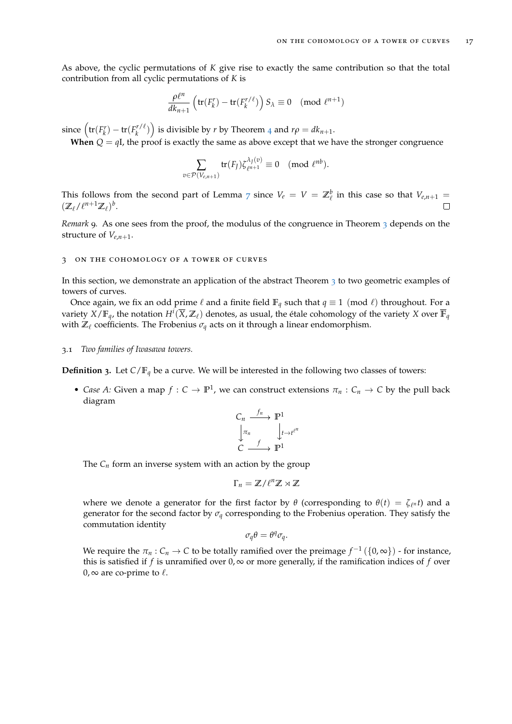As above, the cyclic permutations of *K* give rise to exactly the same contribution so that the total contribution from all cyclic permutations of *K* is

$$
\frac{\rho \ell^n}{dk_{n+1}} \left( \text{tr}(F_k^r) - \text{tr}(F_k^{r/\ell}) \right) S_\lambda \equiv 0 \pmod{\ell^{n+1}}
$$

since  $\left(\text{tr}(F_k^r) - \text{tr}(F_k^{r/\ell})\right)$  is divisible by *r* by Theorem [4](#page-9-1) and  $r\rho = dk_{n+1}$ .

**When**  $Q = qI$ , the proof is exactly the same as above except that we have the stronger congruence

$$
\sum_{v \in \mathcal{P}(V_{e,n+1})} \text{tr}(F_J) \zeta_{\ell^{n+1}}^{\lambda_J(v)} \equiv 0 \pmod{\ell^{nb}}.
$$

This follows from the second part of Lemma [7](#page-13-1) since  $V_e = V = \mathbb{Z}_\ell^b$  in this case so that  $V_{e,n+1} =$  $(\mathbb{Z}_\ell/\ell^{n+1}\mathbb{Z}_\ell)^b$ .

*Remark* 9. As one sees from the proof, the modulus of the congruence in Theorem [3](#page-8-0) depends on the structure of  $V_{e,n+1}$ .

## <span id="page-16-0"></span>3 on the cohomology of a tower of curves

In this section, we demonstrate an application of the abstract Theorem [3](#page-8-0) to two geometric examples of towers of curves.

Once again, we fix an odd prime  $\ell$  and a finite field  $\mathbb{F}_q$  such that  $q \equiv 1 \pmod{\ell}$  throughout. For a variety  $X/\mathbb{F}_q$ , the notation  $H^i(\overline{X},\mathbb{Z}_\ell)$  denotes, as usual, the étale cohomology of the variety  $X$  over  $\overline{\mathbb{F}}_q$ with  $\mathbb{Z}_\ell$  coefficients. The Frobenius  $\sigma_q$  acts on it through a linear endomorphism.

## <span id="page-16-1"></span>3.1 *Two families of Iwasawa towers.*

<span id="page-16-2"></span>**Definition 3.** Let  $C/F_q$  be a curve. We will be interested in the following two classes of towers:

• *Case A:* Given a map  $f: C \to \mathbb{P}^1$ , we can construct extensions  $\pi_n: C_n \to C$  by the pull back diagram

$$
\begin{array}{ccc}\nC_n & \xrightarrow{f_n} & \mathbb{P}^1 \\
\downarrow \pi_n & & \downarrow t \to t^{\ell^n} \\
C & \xrightarrow{f} & \mathbb{P}^1\n\end{array}
$$

The  $C_n$  form an inverse system with an action by the group

$$
\Gamma_n = \mathbb{Z}/\ell^n\mathbb{Z} \rtimes \mathbb{Z}
$$

where we denote a generator for the first factor by  $\theta$  (corresponding to  $\theta(t) = \zeta_{\ell^n} t$ ) and a generator for the second factor by  $\sigma_q$  corresponding to the Frobenius operation. They satisfy the commutation identity

$$
\sigma_q \theta = \theta^q \sigma_q.
$$

We require the  $\pi_n : C_n \to C$  to be totally ramified over the preimage  $f^{-1}(\{0,\infty\})$  - for instance, this is satisfied if *f* is unramified over  $0, \infty$  or more generally, if the ramification indices of *f* over  $0, \infty$  are co-prime to  $\ell$ .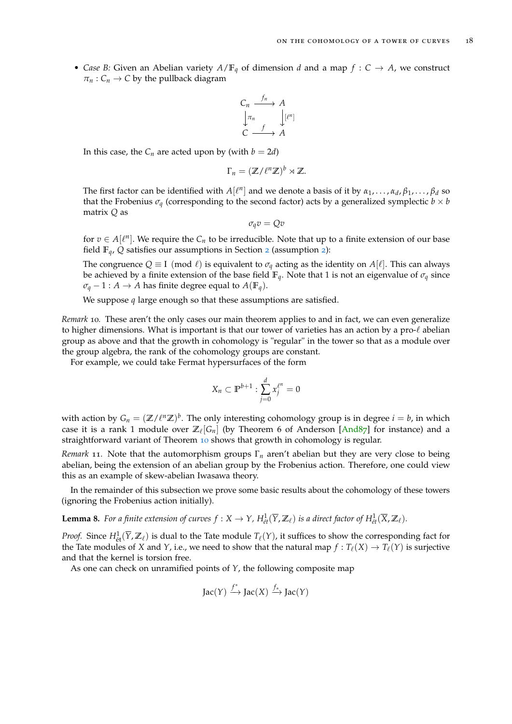• *Case B:* Given an Abelian variety  $A/\mathbb{F}_q$  of dimension *d* and a map  $f : C \to A$ , we construct  $\pi_n$ :  $C_n \to C$  by the pullback diagram

$$
C_n \xrightarrow{f_n} A
$$
  
\n
$$
\downarrow \pi_n
$$
  
\n
$$
\downarrow [l^n]
$$
  
\n
$$
C \xrightarrow{f} A
$$

In this case, the  $C_n$  are acted upon by (with  $b = 2d$ )

$$
\Gamma_n = (\mathbb{Z}/\ell^n \mathbb{Z})^b \rtimes \mathbb{Z}.
$$

The first factor can be identified with  $A[\ell^n]$  and we denote a basis of it by  $\alpha_1, \ldots, \alpha_d, \beta_1, \ldots, \beta_d$  so that the Frobenius  $\sigma_q$  (corresponding to the second factor) acts by a generalized symplectic  $b \times b$ matrix *Q* as

$$
\sigma_q v = Qv
$$

for  $v \in A[\ell^n]$ . We require the  $C_n$  to be irreducible. Note that up to a finite extension of our base field  $\mathbb{F}_q$ , *Q* satisfies our assumptions in Section [2](#page-5-2) (assumption 2):

The congruence  $Q \equiv I \pmod{\ell}$  is equivalent to  $\sigma_q$  acting as the identity on  $A[\ell]$ . This can always be achieved by a finite extension of the base field  $\mathbb{F}_q$ . Note that 1 is not an eigenvalue of  $\sigma_q$  since  $\sigma_q - 1 : A \to A$  has finite degree equal to  $A(\mathbb{F}_q)$ .

We suppose *q* large enough so that these assumptions are satisfied.

*Remark* 10*.* These aren't the only cases our main theorem applies to and in fact, we can even generalize to higher dimensions. What is important is that our tower of varieties has an action by a pro- $\ell$  abelian group as above and that the growth in cohomology is "regular" in the tower so that as a module over the group algebra, the rank of the cohomology groups are constant.

For example, we could take Fermat hypersurfaces of the form

$$
X_n \subset \mathbb{P}^{b+1} : \sum_{j=0}^d x_j^{\ell^n} = 0
$$

with action by  $G_n = (\mathbb{Z}/\ell^n\mathbb{Z})^b.$  The only interesting cohomology group is in degree  $i=b$ , in which case it is a rank 1 module over  $\mathbb{Z}_\ell[G_n]$  (by Theorem 6 of Anderson [\[And](#page-28-11)87] for instance) and a straightforward variant of Theorem [10](#page-18-0) shows that growth in cohomology is regular.

*Remark* 11*.* Note that the automorphism groups Γ*<sup>n</sup>* aren't abelian but they are very close to being abelian, being the extension of an abelian group by the Frobenius action. Therefore, one could view this as an example of skew-abelian Iwasawa theory.

In the remainder of this subsection we prove some basic results about the cohomology of these towers (ignoring the Frobenius action initially).

<span id="page-17-0"></span>**Lemma 8.** For a finite extension of curves  $f: X \to Y$ ,  $H^1_{\acute{e}t}(\overline{Y}, \mathbb{Z}_\ell)$  is a direct factor of  $H^1_{\acute{e}t}(\overline{X}, \mathbb{Z}_\ell)$ .

*Proof.* Since  $H^1_{\text{\'et}}(\overline{Y},\mathbb{Z}_\ell)$  is dual to the Tate module  $T_\ell(Y)$ , it suffices to show the corresponding fact for the Tate modules of *X* and *Y*, i.e., we need to show that the natural map  $f: T_{\ell}(X) \to T_{\ell}(Y)$  is surjective and that the kernel is torsion free.

As one can check on unramified points of *Y*, the following composite map

Jac(Y) 
$$
\xrightarrow{f^*}
$$
Jac(X)  $\xrightarrow{f_*}$ Jac(Y)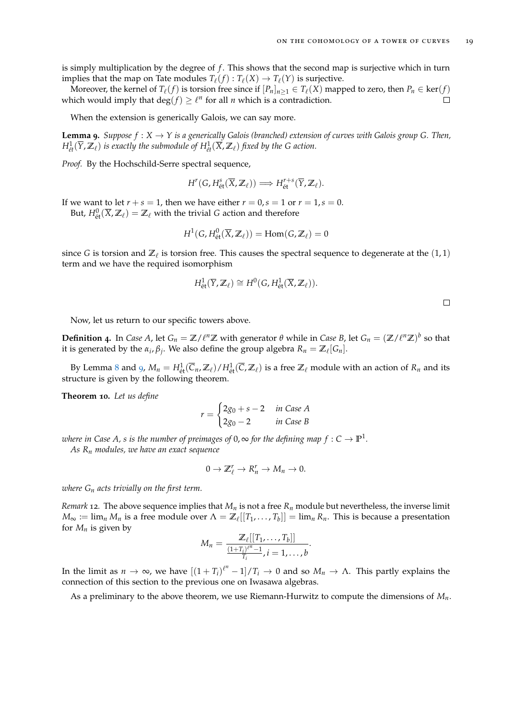is simply multiplication by the degree of *f*. This shows that the second map is surjective which in turn implies that the map on Tate modules  $T_\ell(f) : T_\ell(X) \to T_\ell(Y)$  is surjective.

Moreover, the kernel of  $T_\ell(f)$  is torsion free since if  $[P_n]_{n\geq 1}\in T_\ell(X)$  mapped to zero, then  $P_n\in\ker(f)$ which would imply that  $\deg(f) \geq \ell^n$  for all *n* which is a contradiction.  $\Box$ 

When the extension is generically Galois, we can say more.

<span id="page-18-1"></span>**Lemma 9.** *Suppose*  $f: X \to Y$  *is a generically Galois (branched) extension of curves with Galois group G. Then,*  $H^1_{\acute{e}t}(\overline{Y},\mathbb{Z}_\ell)$  is exactly the submodule of  $H^1_{\acute{e}t}(\overline{X},\mathbb{Z}_\ell)$  fixed by the G action.

*Proof.* By the Hochschild-Serre spectral sequence,

$$
H^r(G, H^s_{\text{\'et}}(\overline{X}, \mathbb{Z}_\ell)) \Longrightarrow H^{r+s}_{\text{\'et}}(\overline{Y}, \mathbb{Z}_\ell).
$$

If we want to let  $r + s = 1$ , then we have either  $r = 0$ ,  $s = 1$  or  $r = 1$ ,  $s = 0$ . But,  $H^0_{\text{\'et}}(\overline{X},\mathbb{Z}_\ell) = \mathbb{Z}_\ell$  with the trivial *G* action and therefore

$$
H^1(G, H^0_{\text{\'et}}(\overline{X}, \mathbb{Z}_\ell)) = \text{Hom}(G, \mathbb{Z}_\ell) = 0
$$

since G is torsion and  $\mathbb{Z}_{\ell}$  is torsion free. This causes the spectral sequence to degenerate at the  $(1, 1)$ term and we have the required isomorphism

$$
H^1_{\text{\'et}}(\overline{Y},\mathbb{Z}_\ell)\cong H^0(G,H^1_{\text{\'et}}(\overline{X},\mathbb{Z}_\ell)).
$$

 $\Box$ 

Now, let us return to our specific towers above.

**Definition** 4. In *Case A*, let  $G_n = \mathbb{Z}/\ell^n\mathbb{Z}$  with generator  $\theta$  while in *Case B*, let  $G_n = (\mathbb{Z}/\ell^n\mathbb{Z})^b$  so that it is generated by the  $\alpha_i$ ,  $\beta_j$ . We also define the group algebra  $R_n = \mathbb{Z}_\ell[G_n]$ .

By Lemma [8](#page-17-0) and [9](#page-18-1),  $M_n = H^1_{\text{\'et}}(\overline{C}_n,\mathbb{Z}_\ell)/H^1_{\text{\'et}}(\overline{C},\mathbb{Z}_\ell)$  is a free  $\mathbb{Z}_\ell$  module with an action of  $R_n$  and its structure is given by the following theorem.

<span id="page-18-0"></span>**Theorem 10.** *Let us define*

$$
r = \begin{cases} 2g_0 + s - 2 & \text{in Case A} \\ 2g_0 - 2 & \text{in Case B} \end{cases}
$$

 $\tau$  where in Case A, s is the number of preimages of 0,  $\infty$  for the defining map  $f: C \to \mathbb{P}^1.$ *As R<sup>n</sup> modules, we have an exact sequence*

$$
0\to \mathbb{Z}_{\ell}^r\to R_n^r\to M_n\to 0.
$$

*where G<sup>n</sup> acts trivially on the first term.*

*Remark* 12*.* The above sequence implies that *M<sup>n</sup>* is not a free *R<sup>n</sup>* module but nevertheless, the inverse limit  $M_{\infty} := \lim_{n} M_n$  is a free module over  $\Lambda = \mathbb{Z}_\ell[[T_1, \ldots, T_b]] = \lim_{n} R_n$ . This is because a presentation for  $M_n$  is given by

$$
M_n=\frac{\mathbb{Z}_{\ell}[[T_1,\ldots,T_b]]}{\frac{(1+T_i)^{\ell^n}-1}{T_i},i=1,\ldots,b}.
$$

In the limit as  $n \to \infty$ , we have  $[(1+T_i)^{\ell^n}-1]/T_i \to 0$  and so  $M_n \to \Lambda$ . This partly explains the connection of this section to the previous one on Iwasawa algebras.

As a preliminary to the above theorem, we use Riemann-Hurwitz to compute the dimensions of *Mn*.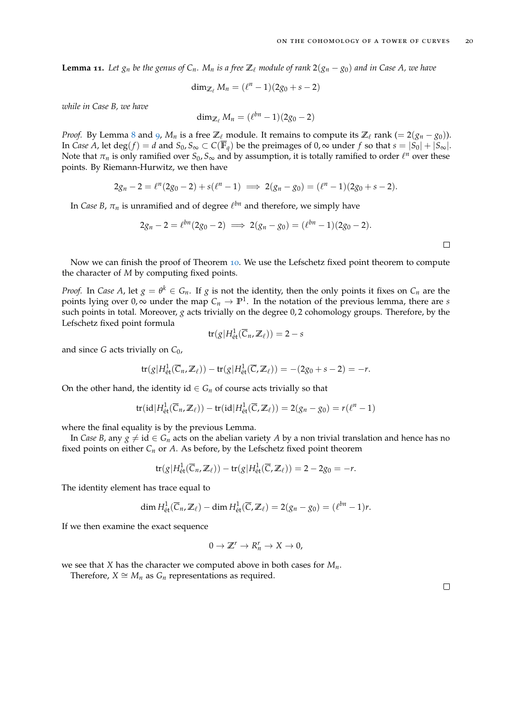**Lemma 11.** Let  $g_n$  be the genus of  $C_n$ .  $M_n$  is a free  $\mathbb{Z}_\ell$  module of rank  $2(g_n - g_0)$  and in Case A, we have

$$
\dim_{\mathbb{Z}_{\ell}} M_n = (\ell^n-1)(2g_0+s-2)
$$

*while in Case B, we have*

$$
\dim_{\mathbb{Z}_{\ell}} M_n = (\ell^{bn}-1)(2g_0-2)
$$

*Proof.* By Lemma [8](#page-17-0) and [9](#page-18-1),  $M_n$  is a free  $\mathbb{Z}_\ell$  module. It remains to compute its  $\mathbb{Z}_\ell$  rank (= 2( $g_n - g_0$ )). In *Case A*, let deg(*f*) = *d* and  $S_0$ ,  $S_\infty \subset C(\overline{\mathbb{F}}_q)$  be the preimages of 0,  $\infty$  under *f* so that  $s = |S_0| + |S_\infty|$ . Note that  $\pi_n$  is only ramified over  $S_0$ ,  $S_\infty$  and by assumption, it is totally ramified to order  $\ell^n$  over these points. By Riemann-Hurwitz, we then have

$$
2g_n - 2 = \ell^n (2g_0 - 2) + s(\ell^n - 1) \implies 2(g_n - g_0) = (\ell^n - 1)(2g_0 + s - 2).
$$

In *Case B,*  $\pi_n$  is unramified and of degree  $\ell^{bn}$  and therefore, we simply have

$$
2g_n - 2 = \ell^{bn}(2g_0 - 2) \implies 2(g_n - g_0) = (\ell^{bn} - 1)(2g_0 - 2).
$$

Now we can finish the proof of Theorem [10](#page-18-0). We use the Lefschetz fixed point theorem to compute the character of *M* by computing fixed points.

*Proof.* In *Case A*, let  $g = \theta^k \in G_n$ . If  $g$  is not the identity, then the only points it fixes on  $C_n$  are the points lying over 0,  $\infty$  under the map  $C_n \to \mathbb{P}^1$ . In the notation of the previous lemma, there are *s* such points in total. Moreover, *g* acts trivially on the degree 0, 2 cohomology groups. Therefore, by the Lefschetz fixed point formula

$$
\operatorname{tr}(g|H^1_{\text{\'et}}(\overline{C}_n,\mathbb{Z}_\ell))=2-s
$$

and since *G* acts trivially on *C*0,

$$
\operatorname{tr}(g|H^1_{\text{\'et}}(\overline{C}_n,\mathbb{Z}_\ell)) - \operatorname{tr}(g|H^1_{\text{\'et}}(\overline{C},\mathbb{Z}_\ell)) = -(2g_0+s-2) = -r.
$$

On the other hand, the identity id  $\in G_n$  of course acts trivially so that

$$
\mathrm{tr}(\mathrm{id}|H^1_{\mathrm{\acute{e}t}}(\overline{C}_n,\mathbb{Z}_\ell)) - \mathrm{tr}(\mathrm{id}|H^1_{\mathrm{\acute{e}t}}(\overline{C},\mathbb{Z}_\ell)) = 2(g_n - g_0) = r(\ell^n - 1)
$$

where the final equality is by the previous Lemma.

In *Case B*, any  $g \neq id \in G_n$  acts on the abelian variety *A* by a non trivial translation and hence has no fixed points on either *C<sup>n</sup>* or *A*. As before, by the Lefschetz fixed point theorem

$$
\operatorname{tr}(g|H_{\text{\'et}}^1(\overline{C}_n,\mathbb{Z}_\ell)) - \operatorname{tr}(g|H_{\text{\'et}}^1(\overline{C},\mathbb{Z}_\ell)) = 2 - 2g_0 = -r.
$$

The identity element has trace equal to

$$
\dim H^1_{\text{\'et}}(\overline{C}_n,\mathbb{Z}_\ell)-\dim H^1_{\text{\'et}}(\overline{C},\mathbb{Z}_\ell)=2(g_n-g_0)=(\ell^{bn}-1)r.
$$

If we then examine the exact sequence

$$
0 \to \mathbb{Z}^r \to R_n^r \to X \to 0,
$$

we see that *X* has the character we computed above in both cases for *Mn*.

Therefore,  $X \cong M_n$  as  $G_n$  representations as required.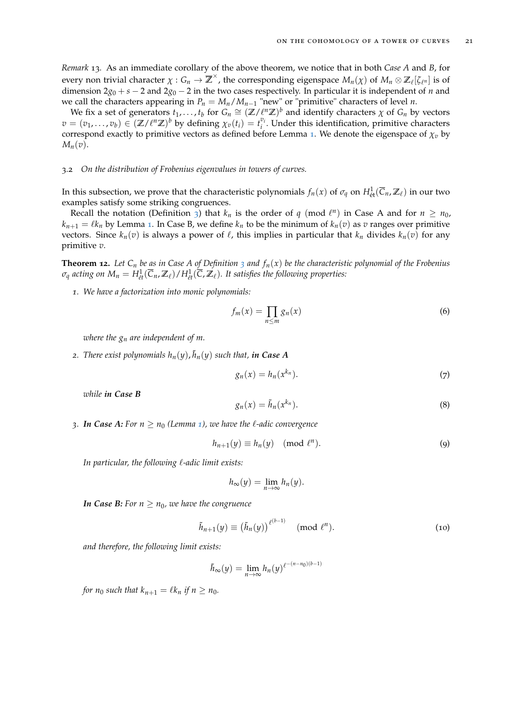*Remark* 13*.* As an immediate corollary of the above theorem, we notice that in both *Case A* and *B*, for every non trivial character  $\chi: G_n \to \overline{Z}^\times$ , the corresponding eigenspace  $M_n(\chi)$  of  $M_n \otimes \mathbb{Z}_\ell[\zeta_{\ell^n}]$  is of dimension 2*g*<sup>0</sup> + *s* − 2 and 2*g*<sup>0</sup> − 2 in the two cases respectively. In particular it is independent of *n* and we call the characters appearing in  $P_n = M_n / M_{n-1}$  "new" or "primitive" characters of level *n*.

We fix a set of generators  $t_1, \ldots, t_b$  for  $G_n \cong (\mathbb{Z}/\ell^n \mathbb{Z})^b$  and identify characters  $\chi$  of  $G_n$  by vectors  $v = (v_1, \ldots, v_b) \in (\mathbb{Z}/\ell^n \mathbb{Z})^b$  by defining  $\chi_v(t_i) = t_i^{v_i}$ . Under this identification, primitive characters correspond exactly to primitive vectors as defined before Lemma [1](#page-6-0). We denote the eigenspace of  $\chi_v$  by  $M_n(v)$ .

## <span id="page-20-0"></span>3.2 *On the distribution of Frobenius eigenvalues in towers of curves.*

In this subsection, we prove that the characteristic polynomials  $f_n(x)$  of  $\sigma_q$  on  $H^1_{\text{\'et}}(\overline{C}_n,\mathbb{Z}_\ell)$  in our two examples satisfy some striking congruences.

Recall the notation (Definition [3](#page-16-2)) that  $k_n$  is the order of  $q \pmod{\ell^n}$  in Case A and for  $n \ge n_0$ ,  $k_{n+1} = \ell k_n$  $k_{n+1} = \ell k_n$  $k_{n+1} = \ell k_n$  by Lemma 1. In Case B, we define  $k_n$  to be the minimum of  $k_n(v)$  as *v* ranges over primitive vectors. Since  $k_n(v)$  is always a power of  $\ell$ , this implies in particular that  $k_n$  divides  $k_n(v)$  for any primitive *v*.

<span id="page-20-1"></span>**Theorem 12.** Let  $C_n$  be as in Case A of Definition [3](#page-16-2) and  $f_n(x)$  be the characteristic polynomial of the Frobenius  $\sigma_q$  acting on  $M_n=H^1_{\acute{e}t}(\overline{C}_n,\mathbb{Z}_\ell)/H^1_{\acute{e}t}(\overline{C},\mathbb{Z}_\ell).$  It satisfies the following properties:

*1. We have a factorization into monic polynomials:*

<span id="page-20-2"></span>
$$
f_m(x) = \prod_{n \le m} g_n(x) \tag{6}
$$

*where the g<sup>n</sup> are independent of m.*

2. *There exist polynomials*  $h_n(y)$ ,  $\tilde{h}_n(y)$  *such that, in Case A* 

<span id="page-20-3"></span>
$$
g_n(x) = h_n(x^{k_n}).
$$
\n(7)

<span id="page-20-4"></span>*while in Case B*

<span id="page-20-5"></span>
$$
g_n(x) = \tilde{h}_n(x^{k_n}).
$$
\n(8)

*3. In Case A:* For  $n \geq n_0$  *(Lemma [1](#page-6-0)), we have the*  $\ell$ *-adic convergence* 

$$
h_{n+1}(y) \equiv h_n(y) \pmod{\ell^n}.
$$
 (9)

*In particular, the following*  $\ell$ *-adic limit exists:* 

<span id="page-20-6"></span>
$$
h_{\infty}(y) = \lim_{n \to \infty} h_n(y).
$$

*In Case B:* For  $n > n_0$ , we have the congruence

$$
\tilde{h}_{n+1}(y) \equiv (\tilde{h}_n(y))^{\ell^{(b-1)}} \pmod{\ell^n}.
$$
 (10)

*and therefore, the following limit exists:*

$$
\tilde{h}_{\infty}(y)=\lim_{n\to\infty}h_n(y)^{\ell^{-(n-n_0)(b-1)}}
$$

*for*  $n_0$  *such that*  $k_{n+1} = \ell k_n$  *if*  $n \geq n_0$ *.*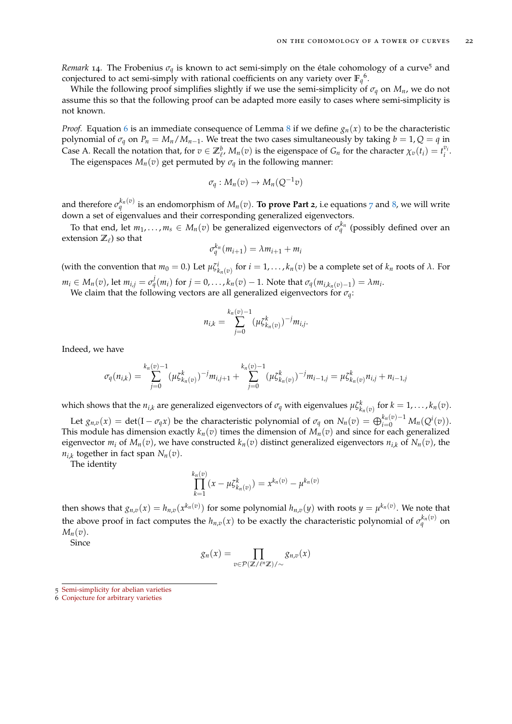*Remark* 14. The Frobenius  $\sigma_q$  is known to act semi-simply on the étale cohomology of a curve<sup>5</sup> and conjectured to act semi-simply with rational coefficients on any variety over  $\mathbb{F}_q^6$ .

While the following proof simplifies slightly if we use the semi-simplicity of  $\sigma_q$  on  $M_n$ , we do not assume this so that the following proof can be adapted more easily to cases where semi-simplicity is not known.

*Proof.* Equation [6](#page-20-2) is an immediate consequence of Lemma [8](#page-17-0) if we define  $g_n(x)$  to be the characteristic polynomial of  $\sigma_q$  on  $P_n = M_n / M_{n-1}$ . We treat the two cases simultaneously by taking  $b = 1, Q = q$  in Case A. Recall the notation that, for  $v \in \mathbb{Z}_{\ell}^b$ ,  $M_n(v)$  is the eigenspace of  $G_n$  for the character  $\chi_v(t_i) = t_i^{v_i}$ . The eigenspaces  $M_n(v)$  get permuted by  $\sigma_q$  in the following manner:

 $\sigma_q: M_n(v) \to M_n(Q^{-1}v)$ 

and therefore  $\sigma_q^{k_n(v)}$  is an endomorphism of  $M_n(v)$ . To prove Part 2, i.e equations [7](#page-20-3) and [8](#page-20-4), we will write down a set of eigenvalues and their corresponding generalized eigenvectors.

To that end, let  $m_1, \ldots, m_s \in M_n(v)$  be generalized eigenvectors of  $\sigma_q^{k_n}$  (possibly defined over an extension  $\mathbb{Z}_{\ell}$ ) so that

$$
\sigma_q^{k_n}(m_{i+1}) = \lambda m_{i+1} + m_i
$$

(with the convention that  $m_0 = 0$ .) Let  $\mu \zeta^i_{k_n(v)}$  for  $i = 1, ..., k_n(v)$  be a complete set of  $k_n$  roots of  $\lambda$ . For  $m_i \in M_n(v)$ , let  $m_{i,j} = \sigma_q^j(m_i)$  for  $j = 0, \ldots, k_n(v) - 1$ . Note that  $\sigma_q(m_{i,k_n(v)-1}) = \lambda m_i$ .

We claim that the following vectors are all generalized eigenvectors for *σq*:

$$
n_{i,k} = \sum_{j=0}^{k_n(v)-1} (\mu \zeta_{k_n(v)}^k)^{-j} m_{i,j}.
$$

Indeed, we have

$$
\sigma_q(n_{i,k}) = \sum_{j=0}^{k_n(v)-1} (\mu \zeta_{k_n(v)}^k)^{-j} m_{i,j+1} + \sum_{j=0}^{k_n(v)-1} (\mu \zeta_{k_n(v)}^k)^{-j} m_{i-1,j} = \mu \zeta_{k_n(v)}^k n_{i,j} + n_{i-1,j}
$$

which shows that the  $n_{i,k}$  are generalized eigenvectors of  $\sigma_q$  with eigenvalues  $\mu \zeta^k_{k_n(v)}$  for  $k = 1, \ldots, k_n(v)$ .

Let  $g_{n,v}(x) = \det(I - \sigma_q x)$  be the characteristic polynomial of  $\sigma_q$  on  $N_n(v) = \bigoplus_{i=0}^{k_n(v)-1} M_n(Q^i(v)).$ This module has dimension exactly  $k_n(v)$  times the dimension of  $M_n(v)$  and since for each generalized eigenvector  $m_i$  of  $M_n(v)$ , we have constructed  $k_n(v)$  distinct generalized eigenvectors  $n_{i,k}$  of  $N_n(v)$ , the *ni*,*<sup>k</sup>* together in fact span *Nn*(*v*).

The identity

$$
\prod_{k=1}^{k_n(v)} (x - \mu \zeta_{k_n(v)}^k) = x^{k_n(v)} - \mu^{k_n(v)}
$$

then shows that  $g_{n,v}(x) = h_{n,v}(x^{k_n(v)})$  for some polynomial  $h_{n,v}(y)$  with roots  $y = \mu^{k_n(v)}$ . We note that the above proof in fact computes the  $h_{n,v}(x)$  to be exactly the characteristic polynomial of  $\sigma_q^{k_n(v)}$  on  $M_n(v)$ .

Since

$$
g_n(x) = \prod_{v \in \mathcal{P}(\mathbb{Z}/\ell^n\mathbb{Z})/\sim} g_{n,v}(x)
$$

<sup>5</sup> [Semi-simplicity for abelian varieties](https://mathoverflow.net/a/104105/58001)

<sup>6</sup> [Conjecture for arbitrary varieties](https://mathoverflow.net/a/104635/58001)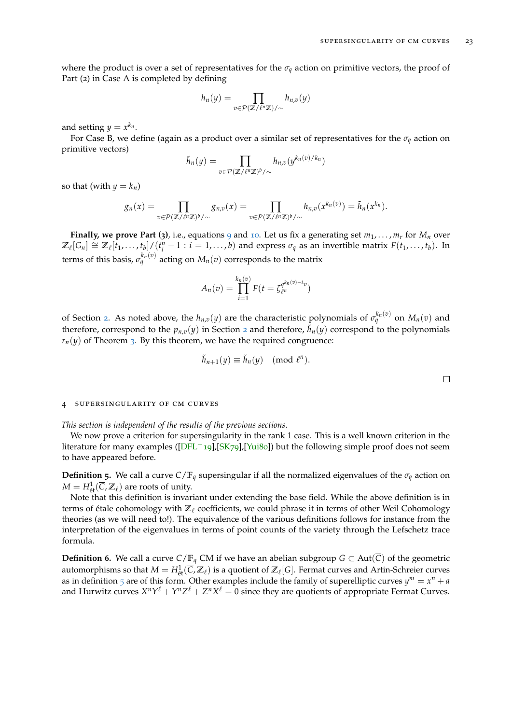where the product is over a set of representatives for the  $\sigma_q$  action on primitive vectors, the proof of Part (2) in Case A is completed by defining

$$
h_n(y) = \prod_{v \in \mathcal{P}(\mathbb{Z}/\ell^n\mathbb{Z})/\sim} h_{n,v}(y)
$$

and setting  $y = x^{k_n}$ .

For Case B, we define (again as a product over a similar set of representatives for the  $\sigma_q$  action on primitive vectors)

$$
\tilde{h}_n(y) = \prod_{v \in \mathcal{P}(\mathbb{Z}/\ell^n\mathbb{Z})^b/\sim} h_{n,v}(y^{k_n(v)/k_n})
$$

so that (with  $y = k_n$ )

$$
g_n(x) = \prod_{v \in \mathcal{P}(\mathbb{Z}/\ell^n\mathbb{Z})^b/\sim} g_{n,v}(x) = \prod_{v \in \mathcal{P}(\mathbb{Z}/\ell^n\mathbb{Z})^b/\sim} h_{n,v}(x^{k_n(v)}) = \tilde{h}_n(x^{k_n}).
$$

**Finally, we prove Part (3)**, i.e., equations [9](#page-20-5) and [10](#page-20-6). Let us fix a generating set  $m_1, \ldots, m_r$  for  $M_n$  over  $\mathbb{Z}_{\ell}[G_n] \cong \mathbb{Z}_{\ell}[t_1,\ldots,t_b]/(t_i^n-1 : i=1,\ldots,b)$  and express  $\sigma_q$  as an invertible matrix  $F(t_1,\ldots,t_b)$ . In terms of this basis,  $\sigma_q^{k_n(v)}$  acting on  $M_n(v)$  corresponds to the matrix

$$
A_n(v) = \prod_{i=1}^{k_n(v)} F(t = \zeta_{\ell^n}^{q^{k_n(v)-i}v})
$$

of Section [2](#page-5-1). As noted above, the  $h_{n,v}(y)$  are the characteristic polynomials of  $\sigma_q^{k_n(v)}$  on  $M_n(v)$  and therefore, correspond to the  $p_{n,v}(y)$  in Section [2](#page-5-1) and therefore,  $\bar{h}_n(y)$  correspond to the polynomials  $r_n(y)$  of Theorem [3](#page-8-0). By this theorem, we have the required congruence:

$$
\tilde{h}_{n+1}(y) \equiv \tilde{h}_n(y) \pmod{\ell^n}.
$$

 $\Box$ 

#### <span id="page-22-0"></span>4 supersingularity of cm curves

*This section is independent of the results of the previous sections.*

We now prove a criterion for supersingularity in the rank 1 case. This is a well known criterion in the literature for many examples  $([DFL+19],[SK79],[Yui80])$  $([DFL+19],[SK79],[Yui80])$  $([DFL+19],[SK79],[Yui80])$  $([DFL+19],[SK79],[Yui80])$  $([DFL+19],[SK79],[Yui80])$  $([DFL+19],[SK79],[Yui80])$  $([DFL+19],[SK79],[Yui80])$  but the following simple proof does not seem to have appeared before.

**Definition 5.** We call a curve  $C/F_q$  supersingular if all the normalized eigenvalues of the  $\sigma_q$  action on  $M = H^1_{\text{\'et}}(\overline{C},\mathbb{Z}_\ell)$  are roots of unity.

Note that this definition is invariant under extending the base field. While the above definition is in terms of étale cohomology with  $\mathbb{Z}_\ell$  coefficients, we could phrase it in terms of other Weil Cohomology theories (as we will need to!). The equivalence of the various definitions follows for instance from the interpretation of the eigenvalues in terms of point counts of the variety through the Lefschetz trace formula.

**Definition 6.** We call a curve  $C/F_q$  CM if we have an abelian subgroup  $G \subset Aut(\overline{C})$  of the geometric automorphisms so that  $M = H^1_{\text{\'et}}(\overline{C},\mathbb{Z}_\ell)$  is a quotient of  $\mathbb{Z}_\ell[G]$ . Fermat curves and Artin-Schreier curves as in definition  $\frac{1}{2}$  are of this form. Other examples include the family of superelliptic curves  $y^m = x^n + a$ and Hurwitz curves  $X^nY^\ell + Y^nZ^\ell + Z^nX^\ell = 0$  since they are quotients of appropriate Fermat Curves.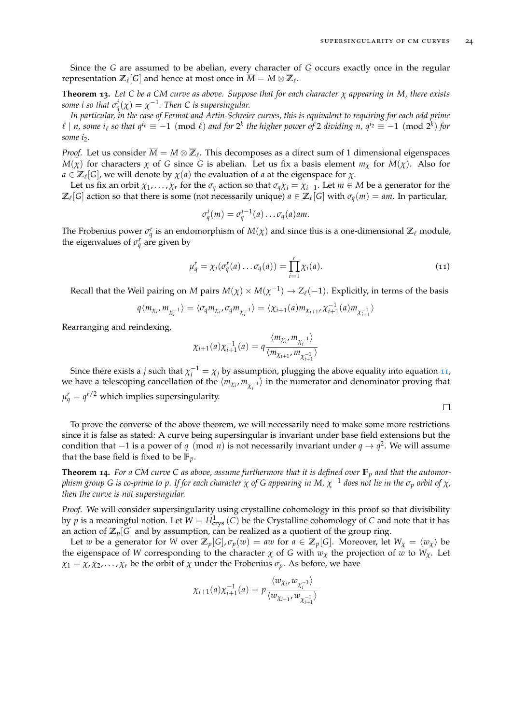Since the *G* are assumed to be abelian, every character of *G* occurs exactly once in the regular representation  $\mathbb{Z}_\ell[G]$  and hence at most once in  $\overline{M} = M \otimes \overline{\mathbb{Z}}_\ell.$ 

<span id="page-23-0"></span>**Theorem 13.** *Let C be a CM curve as above. Suppose that for each character χ appearing in M, there exists some i so that*  $\sigma_q^i(\chi) = \chi^{-1}$ *. Then C is supersingular.* 

*In particular, in the case of Fermat and Artin-Schreier curves, this is equivalent to requiring for each odd prime*  $\ell \mid n$ , some  $i_{\ell}$  so that  $q^{i_{\ell}} \equiv -1 \pmod{\ell}$  and for  $2^k$  the higher power of 2 dividing  $n$ ,  $q^{i_2} \equiv -1 \pmod{2^k}$  for *some i*2*.*

*Proof.* Let us consider  $\overline{M} = M \otimes \overline{\mathbb{Z}}_\ell$ . This decomposes as a direct sum of 1 dimensional eigenspaces *M*(*χ*) for characters *χ* of *G* since *G* is abelian. Let us fix a basis element *m<sub><i>χ*</sub> for *M*(*χ*). Also for  $a \in \mathbb{Z}_\ell[G]$ , we will denote by  $\chi(a)$  the evaluation of *a* at the eigenspace for  $\chi$ .

Let us fix an orbit  $\chi_1, \ldots, \chi_r$  for the  $\sigma_q$  action so that  $\sigma_q\chi_i = \chi_{i+1}$ . Let  $m \in M$  be a generator for the  $\mathbb{Z}_\ell[G]$  action so that there is some (not necessarily unique)  $a \in \mathbb{Z}_\ell[G]$  with  $\sigma_q(m) = am$ . In particular,

$$
\sigma_q^i(m) = \sigma_q^{i-1}(a) \dots \sigma_q(a) \text{ and}
$$

The Frobenius power  $\sigma_q^r$  is an endomorphism of  $M(\chi)$  and since this is a one-dimensional  $\mathbb{Z}_\ell$  module, the eigenvalues of  $\sigma_q^r$  are given by

<span id="page-23-2"></span>
$$
\mu_q^r = \chi_i(\sigma_q^r(a) \dots \sigma_q(a)) = \prod_{i=1}^r \chi_i(a). \tag{11}
$$

Recall that the Weil pairing on *M* pairs  $M(\chi) \times M(\chi^{-1}) \to Z_\ell(-1)$ . Explicitly, in terms of the basis

$$
q\langle m_{\chi_i},m_{\chi_i^{-1}}\rangle = \langle \sigma_q m_{\chi_i},\sigma_q m_{\chi_i^{-1}}\rangle = \langle \chi_{i+1}(a)m_{\chi_{i+1}},\chi_{i+1}^{-1}(a)m_{\chi_{i+1}^{-1}}\rangle
$$

Rearranging and reindexing,

$$
\chi_{i+1}(a)\chi_{i+1}^{-1}(a) = q \frac{\langle m_{\chi_i}, m_{\chi_i^{-1}}\rangle}{\langle m_{\chi_{i+1}}, m_{\chi_{i+1}^{-1}}\rangle}
$$

Since there exists a *j* such that  $\chi_i^{-1} = \chi_j$  by assumption, plugging the above equality into equation [11](#page-23-2), we have a telescoping cancellation of the  $\langle m_{\chi_i},m_{\chi_i^{-1}}\rangle$  in the numerator and denominator proving that  $\mu_q^r = q^{r/2}$  which implies supersingularity.

$$
\qquad \qquad \Box
$$

To prove the converse of the above theorem, we will necessarily need to make some more restrictions since it is false as stated: A curve being supersingular is invariant under base field extensions but the condition that −1 is a power of *q* (mod *n*) is not necessarily invariant under *q* → *q* 2 . We will assume that the base field is fixed to be  $\mathbb{F}_p$ .

<span id="page-23-1"></span>**Theorem 14.** For a CM curve C as above, assume furthermore that it is defined over  $\mathbb{F}_p$  and that the automorphism group G is co-prime to p. If for each character  $\chi$  of G appearing in M,  $\chi^{-1}$  does not lie in the  $\sigma_p$  orbit of  $\chi$ , *then the curve is not supersingular.*

*Proof.* We will consider supersingularity using crystalline cohomology in this proof so that divisibility by  $p$  is a meaningful notion. Let  $W = H^1_{\text{crys}}(\mathsf{C})$  be the Crystalline cohomology of  $\mathsf C$  and note that it has an action of  $\mathbb{Z}_p[G]$  and by assumption, can be realized as a quotient of the group ring.

Let *w* be a generator for *W* over  $\mathbb{Z}_p[G]$ ,  $\sigma_p(w) = aw$  for  $a \in \mathbb{Z}_p[G]$ . Moreover, let  $W_\chi = \langle w_\chi \rangle$  be the eigenspace of *W* corresponding to the character  $\chi$  of *G* with  $w_{\chi}$  the projection of *w* to  $W_{\chi}$ . Let  $\chi_1 = \chi, \chi_2, \ldots, \chi_r$  be the orbit of  $\chi$  under the Frobenius  $\sigma_p$ . As before, we have

$$
\chi_{i+1}(a)\chi_{i+1}^{-1}(a) = p \frac{\langle w_{\chi_i}, w_{\chi_i^{-1}}\rangle}{\langle w_{\chi_{i+1}}, w_{\chi_{i+1}^{-1}}\rangle}
$$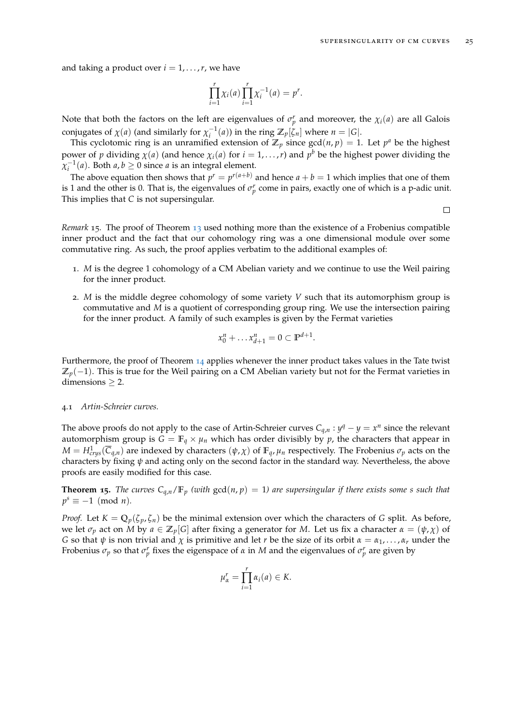and taking a product over  $i = 1, \ldots, r$ , we have

$$
\prod_{i=1}^r \chi_i(a) \prod_{i=1}^r \chi_i^{-1}(a) = p^r.
$$

Note that both the factors on the left are eigenvalues of  $\sigma_p^r$  and moreover, the  $\chi_i(a)$  are all Galois conjugates of  $\chi$ (*a*) (and similarly for  $\chi_i^{-1}(a)$ ) in the ring  $\mathbb{Z}_p[\zeta_n]$  where  $n = |G|$ .

This cyclotomic ring is an unramified extension of  $\mathbb{Z}_p$  since  $gcd(n, p) = 1$ . Let  $p^a$  be the highest power of *p* dividing  $\chi(a)$  (and hence  $\chi_i(a)$  for  $i = 1, ..., r$ ) and  $p^b$  be the highest power dividing the  $\chi_i^{-1}(a)$ . Both  $a, b \ge 0$  since  $a$  is an integral element.

The above equation then shows that  $p^r = p^{r(a+b)}$  and hence  $a + b = 1$  which implies that one of them is 1 and the other is 0. That is, the eigenvalues of  $\sigma_p^r$  come in pairs, exactly one of which is a p-adic unit. This implies that *C* is not supersingular.

 $\Box$ 

<span id="page-24-1"></span>*Remark* 15*.* The proof of Theorem [13](#page-23-0) used nothing more than the existence of a Frobenius compatible inner product and the fact that our cohomology ring was a one dimensional module over some commutative ring. As such, the proof applies verbatim to the additional examples of:

- 1. *M* is the degree 1 cohomology of a CM Abelian variety and we continue to use the Weil pairing for the inner product.
- 2. *M* is the middle degree cohomology of some variety *V* such that its automorphism group is commutative and *M* is a quotient of corresponding group ring. We use the intersection pairing for the inner product. A family of such examples is given by the Fermat varieties

$$
x_0^n + \dots x_{d+1}^n = 0 \subset \mathbb{P}^{d+1}.
$$

Furthermore, the proof of Theorem [14](#page-23-1) applies whenever the inner product takes values in the Tate twist  $\mathbb{Z}_p(-1)$ . This is true for the Weil pairing on a CM Abelian variety but not for the Fermat varieties in dimensions  $\geq 2$ .

#### <span id="page-24-0"></span>4.1 *Artin-Schreier curves.*

The above proofs do not apply to the case of Artin-Schreier curves  $C_{q,n}$ :  $y^q - y = x^n$  since the relevant automorphism group is  $G = \mathbb{F}_q \times \mu_n$  which has order divisibly by p, the characters that appear in *M* =  $H^1_{crys}(\overline{C}_{q,n})$  are indexed by characters  $(\psi, \chi)$  of  $\mathbb{F}_q$ ,  $\mu_n$  respectively. The Frobenius  $\sigma_p$  acts on the characters by fixing *ψ* and acting only on the second factor in the standard way. Nevertheless, the above proofs are easily modified for this case.

**Theorem 15.** The curves  $C_{q,n}/\mathbb{F}_p$  (with  $gcd(n, p) = 1$ ) are supersingular if there exists some *s* such that  $p^s \equiv -1 \pmod{n}$ .

*Proof.* Let  $K = \mathbb{Q}_p(\zeta_p, \zeta_n)$  be the minimal extension over which the characters of *G* split. As before, we let  $\sigma_p$  act on *M* by  $a \in \mathbb{Z}_p[G]$  after fixing a generator for *M*. Let us fix a character  $\alpha = (\psi, \chi)$  of *G* so that *ψ* is non trivial and *χ* is primitive and let *r* be the size of its orbit  $\alpha = \alpha_1, \ldots, \alpha_r$  under the Frobenius  $\sigma_p$  so that  $\sigma_p^r$  fixes the eigenspace of  $\alpha$  in  $M$  and the eigenvalues of  $\sigma_p^r$  are given by

$$
\mu_{\alpha}^r = \prod_{i=1}^r \alpha_i(a) \in K.
$$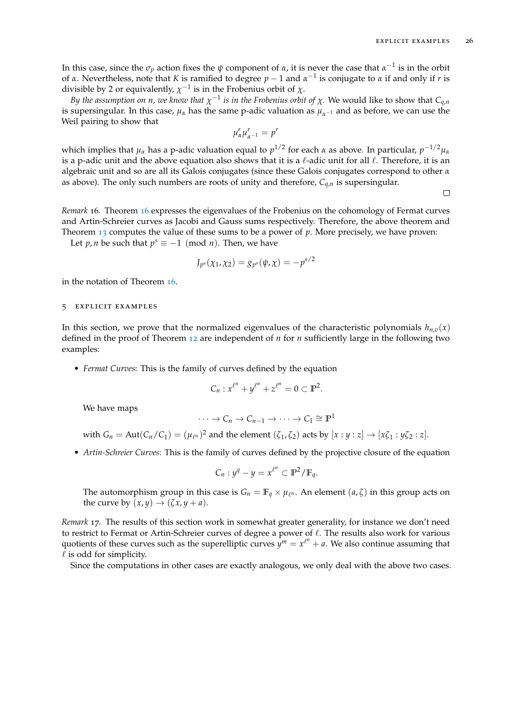In this case, since the  $\sigma_p$  action fixes the  $\psi$  component of  $\alpha$ , it is never the case that  $\alpha^{-1}$  is in the orbit of *α*. Nevertheless, note that *K* is ramified to degree  *and*  $*α* − 1$  *is conjugate to <i>α* if and only if *r* is divisible by 2 or equivalently,  $\chi^{-1}$  is in the Frobenius orbit of  $\chi$ .

*By the assumption on n, we know that*  $\chi^{-1}$  *is in the Frobenius orbit of*  $\chi$ . We would like to show that  $C_{q,n}$ is supersingular. In this case,  $\mu_{\alpha}$  has the same p-adic valuation as  $\mu_{\alpha^{-1}}$  and as before, we can use the Weil pairing to show that

$$
\mu_{\alpha}^r \mu_{\alpha^{-1}}^r = p^r
$$

which implies that *µ<sup>α</sup>* has a p-adic valuation equal to *p* 1/2 for each *α* as above. In particular, *p* <sup>−</sup>1/2*µ<sup>α</sup>* is a p-adic unit and the above equation also shows that it is a  $\ell$ -adic unit for all  $\ell$ . Therefore, it is an algebraic unit and so are all its Galois conjugates (since these Galois conjugates correspond to other *α* as above). The only such numbers are roots of unity and therefore, *Cq*,*<sup>n</sup>* is supersingular.

 $\Box$ 

<span id="page-25-1"></span>*Remark* 16*.* Theorem [16](#page-26-0) expresses the eigenvalues of the Frobenius on the cohomology of Fermat curves and Artin-Schreier curves as Jacobi and Gauss sums respectively. Therefore, the above theorem and Theorem [13](#page-23-0) computes the value of these sums to be a power of *p*. More precisely, we have proven:

Let *p*, *n* be such that  $p^s \equiv -1 \pmod{n}$ . Then, we have

$$
J_{p^{s}}(\chi_{1},\chi_{2})=g_{p^{s}}(\psi,\chi)=-p^{s/2}
$$

in the notation of Theorem [16](#page-26-0).

## <span id="page-25-0"></span>5 explicit examples

In this section, we prove that the normalized eigenvalues of the characteristic polynomials  $h_{n,v}(x)$ defined in the proof of Theorem [12](#page-20-1) are independent of *n* for *n* sufficiently large in the following two examples:

• *Fermat Curves*: This is the family of curves defined by the equation

$$
C_n: x^{\ell^n}+y^{\ell^n}+z^{\ell^n}=0\subset \mathbb{P}^2.
$$

We have maps

$$
\cdots \to C_n \to C_{n-1} \to \cdots \to C_1 \cong \mathbb{P}^1
$$

with  $G_n = \text{Aut}(C_n/C_1) = (\mu_{\ell^n})^2$  and the element  $(\zeta_1, \zeta_2)$  acts by  $[x:y:z] \rightarrow [x\zeta_1:y\zeta_2:z]$ .

• *Artin-Schreier Curves*: This is the family of curves defined by the projective closure of the equation

$$
C_n: y^q - y = x^{\ell^n} \subset \mathbb{P}^2 / \mathbb{F}_q.
$$

The automorphism group in this case is  $G_n = \mathbb{F}_q \times \mu_{\ell^n}$ . An element  $(a, \zeta)$  in this group acts on the curve by  $(x, y) \rightarrow (\zeta x, y + a)$ .

*Remark* 17*.* The results of this section work in somewhat greater generality, for instance we don't need to restrict to Fermat or Artin-Schreier curves of degree a power of  $\ell$ . The results also work for various quotients of these curves such as the superelliptic curves  $y^m = x^{\ell^n} + a$ . We also continue assuming that  $\ell$  is odd for simplicity.

Since the computations in other cases are exactly analogous, we only deal with the above two cases.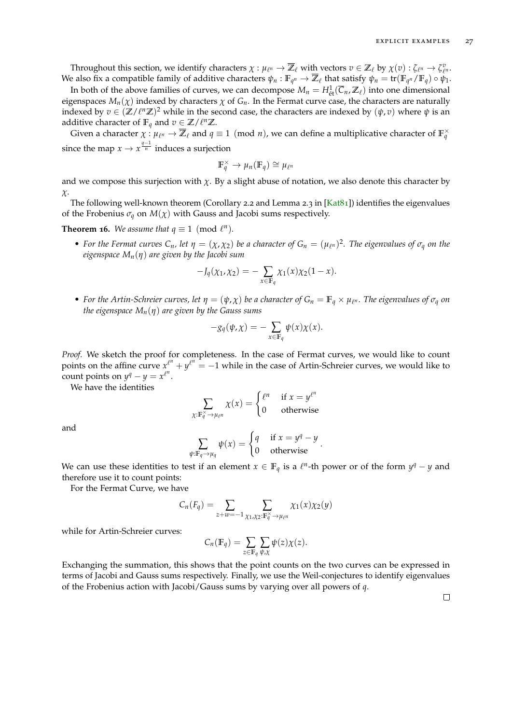Throughout this section, we identify characters  $\chi : \mu_{\ell^n} \to \overline{\mathbb{Z}}_{\ell}$  with vectors  $v \in \mathbb{Z}_{\ell}$  by  $\chi(v) : \zeta_{\ell^n} \to \zeta_{\ell^n}^v$ . We also fix a compatible family of additive characters  $\psi_n : \mathbb{F}_{q^n} \to \overline{\mathbb{Z}}_\ell$  that satisfy  $\psi_n = \text{tr}(\mathbb{F}_{q^n}/\mathbb{F}_q) \circ \psi_1$ .

In both of the above families of curves, we can decompose  $M_n = H^1_{\text{\'et}}(\overline{C}_n,\mathbb{Z}_\ell)$  into one dimensional eigenspaces  $M_n(\chi)$  indexed by characters  $\chi$  of  $G_n$ . In the Fermat curve case, the characters are naturally indexed by  $v \in (\mathbb{Z}/\ell^n \mathbb{Z})^2$  while in the second case, the characters are indexed by  $(\psi, v)$  where  $\psi$  is an additive character of  $\mathbb{F}_q$  and  $v \in \mathbb{Z}/\ell^n \mathbb{Z}$ .

Given a character  $\chi: \mu_{\ell^n} \to \overline{Z}_\ell$  and  $q \equiv 1 \pmod{n}$ , we can define a multiplicative character of  $\mathbb{F}_q^\times$ since the map  $x \to x^{\frac{q-1}{n}}$  induces a surjection

$$
\mathbb{F}_q^\times \to \mu_n(\mathbb{F}_q) \cong \mu_{\ell^n}
$$

and we compose this surjection with  $\chi$ . By a slight abuse of notation, we also denote this character by *χ*.

The following well-known theorem (Corollary 2.2 and Lemma 2.3 in [\[Kat](#page-28-12)81]) identifies the eigenvalues of the Frobenius  $\sigma_q$  on  $M(\chi)$  with Gauss and Jacobi sums respectively.

<span id="page-26-0"></span>**Theorem 16.** We assume that  $q \equiv 1 \pmod{\ell^n}$ .

• For the Fermat curves  $C_n$ , let  $\eta = (\chi, \chi_2)$  be a character of  $G_n = (\mu_{\ell^n})^2$ . The eigenvalues of  $\sigma_q$  on the *eigenspace Mn*(*η*) *are given by the Jacobi sum*

$$
-J_q(\chi_1,\chi_2)=-\sum_{x\in\mathbb{F}_q}\chi_1(x)\chi_2(1-x).
$$

• *For the Artin-Schreier curves, let*  $\eta = (\psi, \chi)$  *be a character of*  $G_n = \mathbb{F}_q \times \mu_{\ell^n}$ . The eigenvalues of  $\sigma_q$  on *the eigenspace*  $M_n(\eta)$  *are given by the Gauss sums* 

$$
-g_q(\psi,\chi)=-\sum_{x\in\mathbb{F}_q}\psi(x)\chi(x).
$$

*Proof.* We sketch the proof for completeness. In the case of Fermat curves, we would like to count points on the affine curve  $x^{\ell^m} + y^{\ell^n} = -1$  while in the case of Artin-Schreier curves, we would like to  $\frac{1}{2}$  count points on  $y^q - y = x^{\ell^n}$ .

We have the identities

$$
\sum_{\chi: \mathbb{F}_q^{\times} \to \mu_{\ell^n}} \chi(x) = \begin{cases} \ell^n & \text{if } x = y^{\ell^n} \\ 0 & \text{otherwise} \end{cases}
$$

and

$$
\sum_{\psi: \mathbb{F}_q \to \mu_q} \psi(x) = \begin{cases} q & \text{if } x = y^q - y \\ 0 & \text{otherwise} \end{cases}.
$$

We can use these identities to test if an element  $x \in \mathbb{F}_q$  is a  $\ell^n$ -th power or of the form  $y^q - y$  and therefore use it to count points:

For the Fermat Curve, we have

$$
C_n(F_q) = \sum_{z+w=-1} \sum_{\chi_1,\chi_2:\mathbb{F}_q^{\times} \to \mu_{\ell^n}} \chi_1(x)\chi_2(y)
$$

while for Artin-Schreier curves:

$$
C_n(\mathbb{F}_q) = \sum_{z \in \mathbb{F}_q} \sum_{\psi, \chi} \psi(z) \chi(z).
$$

Exchanging the summation, this shows that the point counts on the two curves can be expressed in terms of Jacobi and Gauss sums respectively. Finally, we use the Weil-conjectures to identify eigenvalues of the Frobenius action with Jacobi/Gauss sums by varying over all powers of *q*.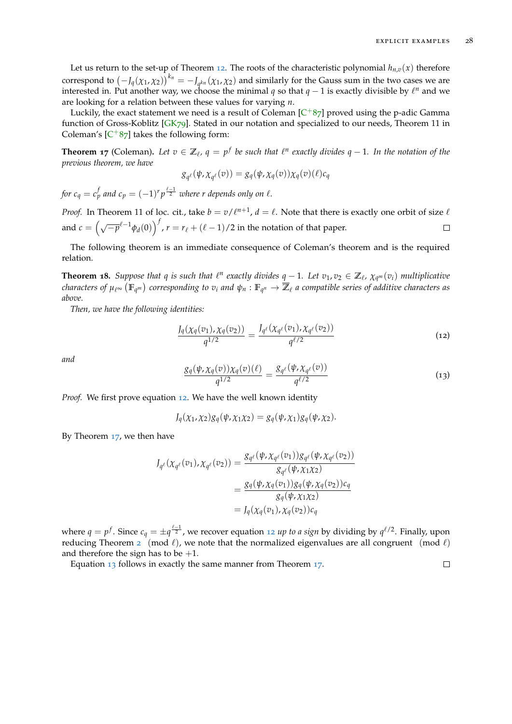Let us return to the set-up of Theorem [12](#page-20-1). The roots of the characteristic polynomial  $h_{n,v}(x)$  therefore correspond to  $(-J_q(\chi_1,\chi_2))^{k_n} = -J_{q^{k_n}}(\chi_1,\chi_2)$  and similarly for the Gauss sum in the two cases we are interested in. Put another way, we choose the minimal *q* so that  $q-1$  is exactly divisible by  $\ell^n$  and we are looking for a relation between these values for varying *n*.

Luckily, the exact statement we need is a result of Coleman  $[C^+87]$  $[C^+87]$  $[C^+87]$  proved using the p-adic Gamma function of Gross-Koblitz [\[GK](#page-28-1)79]. Stated in our notation and specialized to our needs, Theorem 11 in Coleman's  $[C+87]$  $[C+87]$  $[C+87]$  takes the following form:

<span id="page-27-1"></span>**Theorem 17** (Coleman). Let  $v \in \mathbb{Z}_\ell$ ,  $q = p^f$  be such that  $\ell^n$  exactly divides  $q - 1$ . In the notation of the *previous theorem, we have*

$$
g_{q^{\ell}}(\psi, \chi_{q^{\ell}}(v)) = g_q(\psi, \chi_q(v))\chi_q(v)(\ell)c_q
$$

*for*  $c_q = c_p^f$  and  $c_p = (-1)^r p^{\frac{\ell-1}{2}}$  where r depends only on  $\ell$ .

*Proof.* In Theorem 11 of loc. cit., take  $b = v/\ell^{n+1}$ ,  $d = \ell$ . Note that there is exactly one orbit of size  $\ell$ and  $c = \left(\sqrt{-p}^{\ell-1}\phi_d(0)\right)^f$ ,  $r = r_{\ell} + (\ell - 1)/2$  in the notation of that paper.  $\Box$ 

The following theorem is an immediate consequence of Coleman's theorem and is the required relation.

**Theorem 18.** Suppose that q is such that  $\ell^n$  exactly divides  $q-1$ . Let  $v_1, v_2 \in \mathbb{Z}_{\ell}$ ,  $\chi_{q^m}(v_i)$  multiplicative  $f$  *characters of*  $\mu_{\ell^\infty}(\mathbb{F}_{q^m})$  *corresponding to*  $v_i$  *and*  $\psi_n:\mathbb{F}_{q^n}\to\overline{\mathbb{Z}}_\ell$  *a compatible series of additive characters as above.*

*Then, we have the following identities:*

<span id="page-27-0"></span>
$$
\frac{J_q(\chi_q(v_1), \chi_q(v_2))}{q^{1/2}} = \frac{J_{q^{\ell}}(\chi_{q^{\ell}}(v_1), \chi_{q^{\ell}}(v_2))}{q^{\ell/2}}
$$
(12)

<span id="page-27-2"></span>*and*

$$
\frac{g_q(\psi, \chi_q(v))\chi_q(v)(\ell)}{q^{1/2}} = \frac{g_{q^{\ell}}(\psi, \chi_{q^{\ell}}(v))}{q^{\ell/2}}
$$
\n(13)

*Proof.* We first prove equation [12](#page-27-0). We have the well known identity

$$
J_q(\chi_1,\chi_2)g_q(\psi,\chi_1\chi_2)=g_q(\psi,\chi_1)g_q(\psi,\chi_2).
$$

By Theorem [17](#page-27-1), we then have

$$
J_{q^{\ell}}(\chi_{q^{\ell}}(v_1), \chi_{q^{\ell}}(v_2)) = \frac{g_{q^{\ell}}(\psi, \chi_{q^{\ell}}(v_1))g_{q^{\ell}}(\psi, \chi_{q^{\ell}}(v_2))}{g_{q^{\ell}}(\psi, \chi_1 \chi_2)}
$$
  

$$
= \frac{g_{q}(\psi, \chi_q(v_1))g_q(\psi, \chi_q(v_2))c_q}{g_q(\psi, \chi_1 \chi_2)}
$$
  

$$
= J_q(\chi_q(v_1), \chi_q(v_2))c_q
$$

where  $q = p^f$ . Since  $c_q = \pm q^{\frac{\ell-1}{2}}$ , we recover equation [12](#page-27-0) *up to a sign* by dividing by  $q^{\ell/2}$ . Finally, upon reducing Theorem [2](#page-8-1) (mod  $\ell$ ), we note that the normalized eigenvalues are all congruent (mod  $\ell$ ) and therefore the sign has to be  $+1$ .

Equation [13](#page-27-2) follows in exactly the same manner from Theorem [17](#page-27-1).